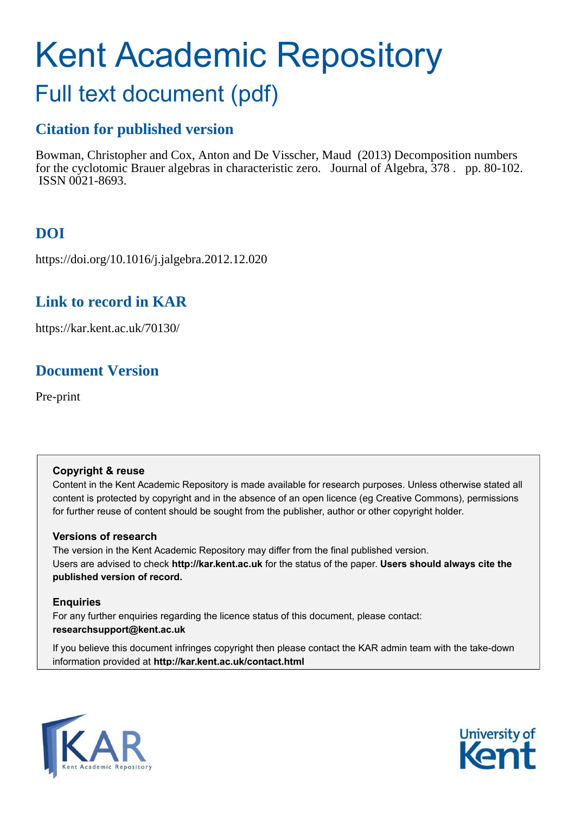# Kent Academic Repository

## Full text document (pdf)

## **Citation for published version**

Bowman, Christopher and Cox, Anton and De Visscher, Maud (2013) Decomposition numbers for the cyclotomic Brauer algebras in characteristic zero. Journal of Algebra, 378 . pp. 80-102. ISSN 0021-8693.

## **DOI**

https://doi.org/10.1016/j.jalgebra.2012.12.020

## **Link to record in KAR**

https://kar.kent.ac.uk/70130/

## **Document Version**

Pre-print

## **Copyright & reuse**

Content in the Kent Academic Repository is made available for research purposes. Unless otherwise stated all content is protected by copyright and in the absence of an open licence (eg Creative Commons), permissions for further reuse of content should be sought from the publisher, author or other copyright holder.

## **Versions of research**

The version in the Kent Academic Repository may differ from the final published version. Users are advised to check **http://kar.kent.ac.uk** for the status of the paper. **Users should always cite the published version of record.**

## **Enquiries**

For any further enquiries regarding the licence status of this document, please contact: **researchsupport@kent.ac.uk**

If you believe this document infringes copyright then please contact the KAR admin team with the take-down information provided at **http://kar.kent.ac.uk/contact.html**



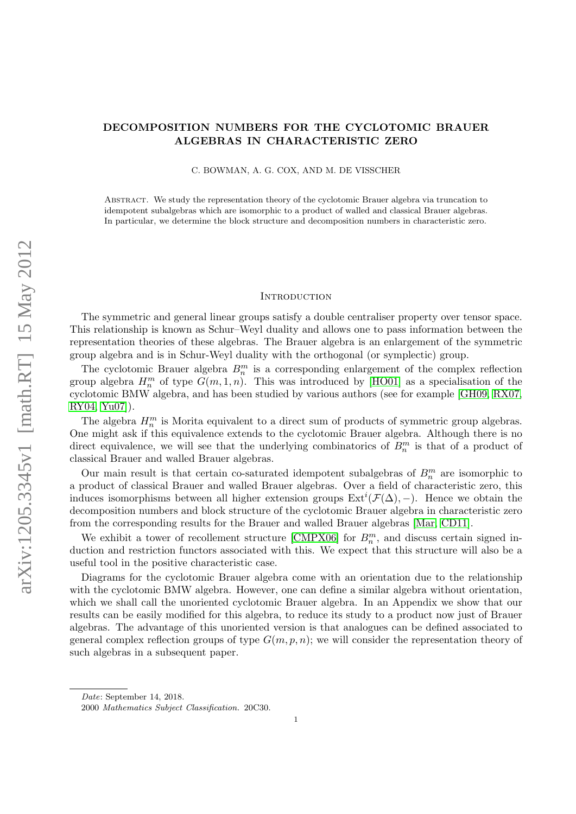## DECOMPOSITION NUMBERS FOR THE CYCLOTOMIC BRAUER ALGEBRAS IN CHARACTERISTIC ZERO

C. BOWMAN, A. G. COX, AND M. DE VISSCHER

Abstract. We study the representation theory of the cyclotomic Brauer algebra via truncation to idempotent subalgebras which are isomorphic to a product of walled and classical Brauer algebras. In particular, we determine the block structure and decomposition numbers in characteristic zero.

#### <span id="page-1-0"></span>**INTRODUCTION**

The symmetric and general linear groups satisfy a double centraliser property over tensor space. This relationship is known as Schur–Weyl duality and allows one to pass information between the representation theories of these algebras. The Brauer algebra is an enlargement of the symmetric group algebra and is in Schur-Weyl duality with the orthogonal (or symplectic) group.

The cyclotomic Brauer algebra  $B_n^m$  is a corresponding enlargement of the complex reflection group algebra  $H_n^m$  of type  $G(m, 1, n)$ . This was introduced by [\[HO01\]](#page-19-0) as a specialisation of the cyclotomic BMW algebra, and has been studied by various authors (see for example [\[GH09,](#page-19-1) [RX07,](#page-19-2) [RY04,](#page-19-3) [Yu07\]](#page-19-4)).

The algebra  $H_n^m$  is Morita equivalent to a direct sum of products of symmetric group algebras. One might ask if this equivalence extends to the cyclotomic Brauer algebra. Although there is no direct equivalence, we will see that the underlying combinatorics of  $B_n^m$  is that of a product of classical Brauer and walled Brauer algebras.

Our main result is that certain co-saturated idempotent subalgebras of  $B_n^m$  are isomorphic to a product of classical Brauer and walled Brauer algebras. Over a field of characteristic zero, this induces isomorphisms between all higher extension groups  $Ext^{i}(\mathcal{F}(\Delta), -)$ . Hence we obtain the decomposition numbers and block structure of the cyclotomic Brauer algebra in characteristic zero from the corresponding results for the Brauer and walled Brauer algebras [\[Mar,](#page-19-5) [CD11\]](#page-18-0).

We exhibit a tower of recollement structure [\[CMPX06\]](#page-18-1) for  $B_n^m$ , and discuss certain signed induction and restriction functors associated with this. We expect that this structure will also be a useful tool in the positive characteristic case.

Diagrams for the cyclotomic Brauer algebra come with an orientation due to the relationship with the cyclotomic BMW algebra. However, one can define a similar algebra without orientation, which we shall call the unoriented cyclotomic Brauer algebra. In an Appendix we show that our results can be easily modified for this algebra, to reduce its study to a product now just of Brauer algebras. The advantage of this unoriented version is that analogues can be defined associated to general complex reflection groups of type  $G(m, p, n)$ ; we will consider the representation theory of such algebras in a subsequent paper.

*Date*: September 14, 2018.

<sup>2000</sup> *Mathematics Subject Classification.* 20C30.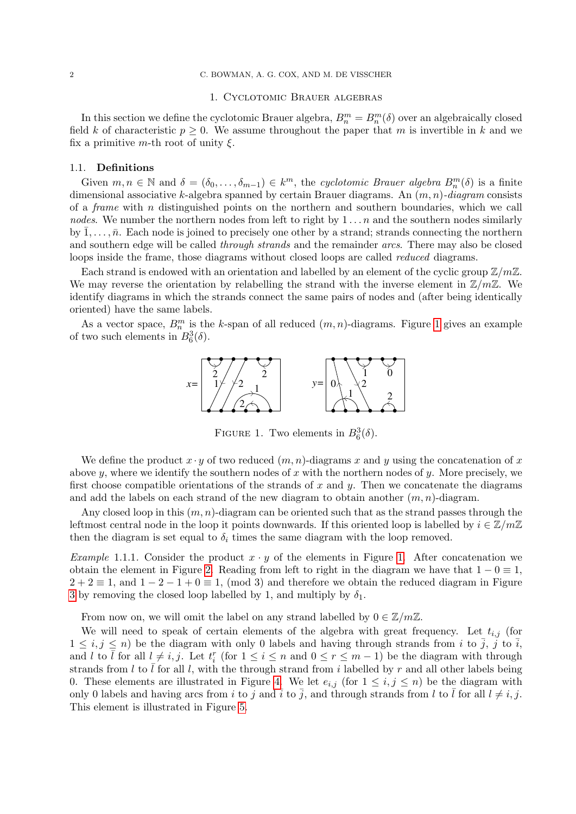#### 2 C. BOWMAN, A. G. COX, AND M. DE VISSCHER

#### <span id="page-2-0"></span>1. Cyclotomic Brauer algebras

In this section we define the cyclotomic Brauer algebra,  $B_n^m = B_n^m(\delta)$  over an algebraically closed field k of characteristic  $p \geq 0$ . We assume throughout the paper that m is invertible in k and we fix a primitive m-th root of unity  $\xi$ .

#### 1.1. Definitions

Given  $m, n \in \mathbb{N}$  and  $\delta = (\delta_0, \ldots, \delta_{m-1}) \in k^m$ , the cyclotomic Brauer algebra  $B_n^m(\delta)$  is a finite dimensional associative k-algebra spanned by certain Brauer diagrams. An  $(m, n)$ -diagram consists of a *frame* with n distinguished points on the northern and southern boundaries, which we call nodes. We number the northern nodes from left to right by  $1 \dots n$  and the southern nodes similarly by  $1, \ldots, \bar{n}$ . Each node is joined to precisely one other by a strand; strands connecting the northern and southern edge will be called through strands and the remainder arcs. There may also be closed loops inside the frame, those diagrams without closed loops are called *reduced* diagrams.

Each strand is endowed with an orientation and labelled by an element of the cyclic group  $\mathbb{Z}/m\mathbb{Z}$ . We may reverse the orientation by relabelling the strand with the inverse element in  $\mathbb{Z}/m\mathbb{Z}$ . We identify diagrams in which the strands connect the same pairs of nodes and (after being identically oriented) have the same labels.

As a vector space,  $B_n^m$  is the k-span of all reduced  $(m, n)$ -diagrams. Figure [1](#page-1-0) gives an example of two such elements in  $B_6^3(\delta)$ .

<span id="page-2-1"></span>

<span id="page-2-3"></span><span id="page-2-2"></span>FIGURE 1. Two elements in  $B_6^3(\delta)$ .

We define the product  $x \cdot y$  of two reduced  $(m, n)$ -diagrams x and y using the concatenation of x above y, where we identify the southern nodes of x with the northern nodes of y. More precisely, we first choose compatible orientations of the strands of x and y. Then we concatenate the diagrams and add the labels on each strand of the new diagram to obtain another  $(m, n)$ -diagram.

Any closed loop in this  $(m, n)$ -diagram can be oriented such that as the strand passes through the leftmost central node in the loop it points downwards. If this oriented loop is labelled by  $i \in \mathbb{Z}/m\mathbb{Z}$ then the diagram is set equal to  $\delta_i$  times the same diagram with the loop removed.

*Example* [1.](#page-1-0)1.1. Consider the product  $x \cdot y$  of the elements in Figure 1. After concatenation we obtain the element in Figure [2.](#page-2-0) Reading from left to right in the diagram we have that  $1 - 0 \equiv 1$ ,  $2 + 2 \equiv 1$ , and  $1 - 2 - 1 + 0 \equiv 1$ , (mod 3) and therefore we obtain the reduced diagram in Figure [3](#page-2-1) by removing the closed loop labelled by 1, and multiply by  $\delta_1$ .

From now on, we will omit the label on any strand labelled by  $0 \in \mathbb{Z}/m\mathbb{Z}$ .

We will need to speak of certain elements of the algebra with great frequency. Let  $t_{i,j}$  (for  $1 \leq i, j \leq n$ ) be the diagram with only 0 labels and having through strands from i to  $\overline{j}$ , j to  $\overline{i}$ , and l to  $\overline{l}$  for all  $l \neq i, j$ . Let  $t_i^r$  (for  $1 \leq i \leq n$  and  $0 \leq r \leq m-1$ ) be the diagram with through strands from  $l$  to  $l$  for all  $l$ , with the through strand from i labelled by r and all other labels being 0. These elements are illustrated in Figure [4.](#page-2-2) We let  $e_{i,j}$  (for  $1 \leq i,j \leq n$ ) be the diagram with only 0 labels and having arcs from i to j and  $\bar{i}$  to  $\bar{j}$ , and through strands from l to  $\bar{l}$  for all  $l \neq i, j$ . This element is illustrated in Figure [5.](#page-2-3)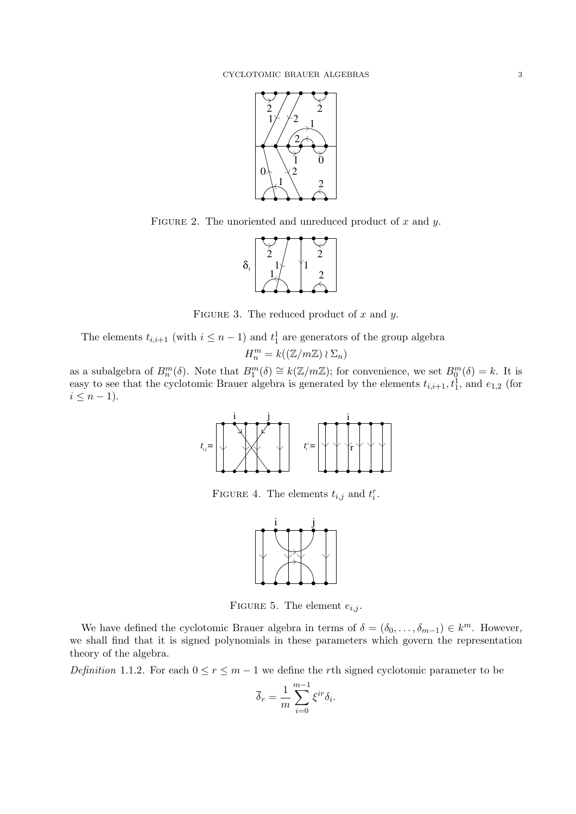

FIGURE 2. The unoriented and unreduced product of  $x$  and  $y$ .



FIGURE 3. The reduced product of  $x$  and  $y$ .

The elements  $t_{i,i+1}$  (with  $i \leq n-1$ ) and  $t_1^1$  are generators of the group algebra

$$
H_n^m = k((\mathbb{Z}/m\mathbb{Z}) \wr \Sigma_n)
$$

as a subalgebra of  $B_n^m(\delta)$ . Note that  $B_1^m(\delta) \cong k(\mathbb{Z}/m\mathbb{Z})$ ; for convenience, we set  $B_0^m(\delta) = k$ . It is easy to see that the cyclotomic Brauer algebra is generated by the elements  $t_{i,i+1}, t_1^1$ , and  $e_{1,2}$  (for  $i \leq n-1$ ).



FIGURE 4. The elements  $t_{i,j}$  and  $t_i^r$ .



FIGURE 5. The element  $e_{i,j}$ .

We have defined the cyclotomic Brauer algebra in terms of  $\delta = (\delta_0, \ldots, \delta_{m-1}) \in k^m$ . However, we shall find that it is signed polynomials in these parameters which govern the representation theory of the algebra.

Definition 1.1.2. For each  $0 \le r \le m-1$  we define the rth signed cyclotomic parameter to be

$$
\overline{\delta}_r = \frac{1}{m} \sum_{i=0}^{m-1} \xi^{ir} \delta_i.
$$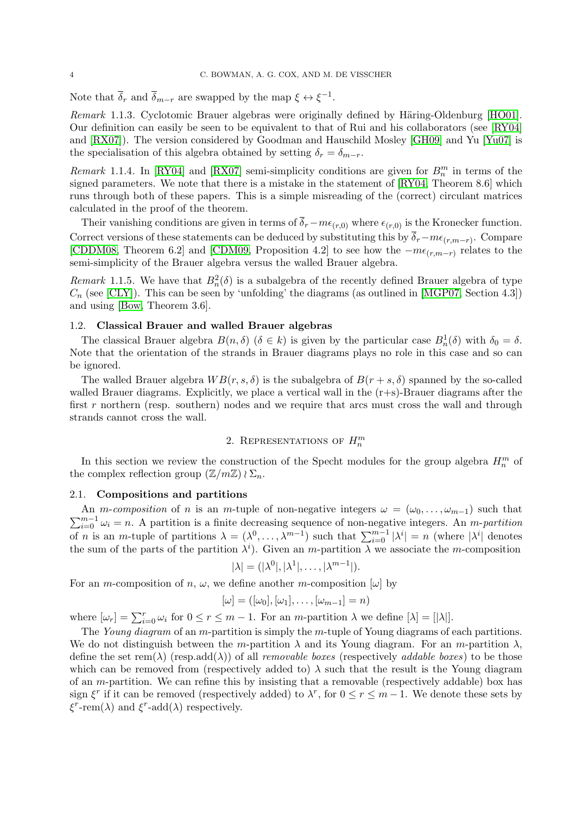Note that  $\overline{\delta}_r$  and  $\overline{\delta}_{m-r}$  are swapped by the map  $\xi \leftrightarrow \xi^{-1}$ .

Remark 1.1.3. Cyclotomic Brauer algebras were originally defined by Häring-Oldenburg [\[HO01\]](#page-19-0). Our definition can easily be seen to be equivalent to that of Rui and his collaborators (see [\[RY04\]](#page-19-3) and [\[RX07\]](#page-19-2)). The version considered by Goodman and Hauschild Mosley [\[GH09\]](#page-19-1) and Yu [\[Yu07\]](#page-19-4) is the specialisation of this algebra obtained by setting  $\delta_r = \delta_{m-r}$ .

Remark 1.1.4. In [\[RY04\]](#page-19-3) and [\[RX07\]](#page-19-2) semi-simplicity conditions are given for  $B_n^m$  in terms of the signed parameters. We note that there is a mistake in the statement of [\[RY04,](#page-19-3) Theorem 8.6] which runs through both of these papers. This is a simple misreading of the (correct) circulant matrices calculated in the proof of the theorem.

Their vanishing conditions are given in terms of  $\overline{\delta}_r - m\epsilon_{(r,0)}$  where  $\epsilon_{(r,0)}$  is the Kronecker function. Correct versions of these statements can be deduced by substituting this by  $\delta_r - m\epsilon_{(r,m-r)}$ . Compare [\[CDDM08,](#page-18-2) Theorem 6.2] and [\[CDM09,](#page-18-3) Proposition 4.2] to see how the  $-m\epsilon_{(r,m-r)}$  relates to the semi-simplicity of the Brauer algebra versus the walled Brauer algebra.

Remark 1.1.5. We have that  $B_n^2(\delta)$  is a subalgebra of the recently defined Brauer algebra of type  $C_n$  (see [\[CLY\]](#page-18-4)). This can be seen by 'unfolding' the diagrams (as outlined in [\[MGP07,](#page-19-6) Section 4.3]) and using [\[Bow,](#page-18-5) Theorem 3.6].

## 1.2. Classical Brauer and walled Brauer algebras

The classical Brauer algebra  $B(n, \delta)$  ( $\delta \in k$ ) is given by the particular case  $B_n^1(\delta)$  with  $\delta_0 = \delta$ . Note that the orientation of the strands in Brauer diagrams plays no role in this case and so can be ignored.

The walled Brauer algebra  $WB(r, s, \delta)$  is the subalgebra of  $B(r + s, \delta)$  spanned by the so-called walled Brauer diagrams. Explicitly, we place a vertical wall in the  $(r+s)$ -Brauer diagrams after the first r northern (resp. southern) nodes and we require that arcs must cross the wall and through strands cannot cross the wall.

## 2. REPRESENTATIONS OF  $H_n^m$

In this section we review the construction of the Specht modules for the group algebra  $H_n^m$  of the complex reflection group  $(\mathbb{Z}/m\mathbb{Z})\wr\Sigma_n$ .

## 2.1. Compositions and partitions

 $\sum_{i=0}^{m-1} \omega_i = n$ . A partition is a finite decreasing sequence of non-negative integers. An *m-partition* An *m-composition* of *n* is an *m*-tuple of non-negative integers  $\omega = (\omega_0, \dots, \omega_{m-1})$  such that of *n* is an *m*-tuple of partitions  $\lambda = (\lambda^0, \dots, \lambda^{m-1})$  such that  $\sum_{i=0}^{m-1} |\lambda^i| = n$  (where  $|\lambda^i|$  denotes the sum of the parts of the partition  $\lambda^i$ ). Given an m-partition  $\lambda$  we associate the m-composition  $|\lambda| = (|\lambda^0|, |\lambda^1|, \ldots, |\lambda^{m-1}|).$ 

For an *m*-composition of *n*, 
$$
\omega
$$
, we define another *m*-composition  $[\omega]$  by

$$
[\omega]=([\omega_0],[\omega_1],\ldots,[\omega_{m-1}]=n)
$$

where  $[\omega_r] = \sum_{i=0}^r \omega_i$  for  $0 \le r \le m-1$ . For an *m*-partition  $\lambda$  we define  $[\lambda] = [|\lambda|]$ .

The Young diagram of an m-partition is simply the m-tuple of Young diagrams of each partitions. We do not distinguish between the m-partition  $\lambda$  and its Young diagram. For an m-partition  $\lambda$ , define the set rem( $\lambda$ ) (resp.add( $\lambda$ )) of all *removable boxes* (respectively *addable boxes*) to be those which can be removed from (respectively added to)  $\lambda$  such that the result is the Young diagram of an m-partition. We can refine this by insisting that a removable (respectively addable) box has sign  $\xi^r$  if it can be removed (respectively added) to  $\lambda^r$ , for  $0 \le r \le m-1$ . We denote these sets by  $\xi^r$ -rem( $\lambda$ ) and  $\xi^r$ -add( $\lambda$ ) respectively.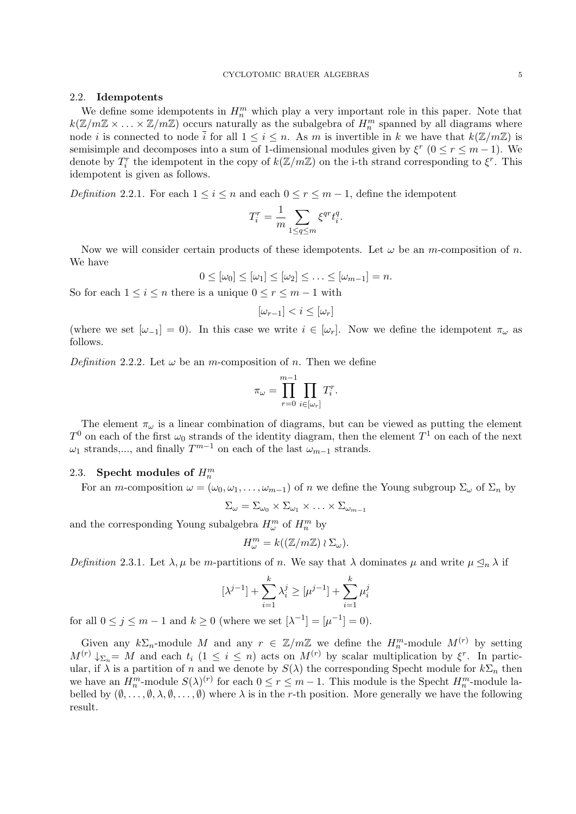#### 2.2. Idempotents

We define some idempotents in  $H_n^m$  which play a very important role in this paper. Note that  $k(\mathbb{Z}/m\mathbb{Z} \times ... \times \mathbb{Z}/m\mathbb{Z})$  occurs naturally as the subalgebra of  $H_n^m$  spanned by all diagrams where node i is connected to node  $\overline{i}$  for all  $1 \leq i \leq n$ . As m is invertible in k we have that  $k(\mathbb{Z}/m\mathbb{Z})$  is semisimple and decomposes into a sum of 1-dimensional modules given by  $\xi^r$   $(0 \le r \le m-1)$ . We denote by  $T_i^r$  the idempotent in the copy of  $k(\mathbb{Z}/m\mathbb{Z})$  on the i-th strand corresponding to  $\xi^r$ . This idempotent is given as follows.

Definition 2.2.1. For each  $1 \leq i \leq n$  and each  $0 \leq r \leq m-1$ , define the idempotent

$$
T_i^r = \frac{1}{m} \sum_{1 \leq q \leq m} \xi^{qr} t_i^q.
$$

Now we will consider certain products of these idempotents. Let  $\omega$  be an m-composition of n. We have

<span id="page-5-1"></span>
$$
0 \leq [\omega_0] \leq [\omega_1] \leq [\omega_2] \leq \ldots \leq [\omega_{m-1}] = n.
$$

So for each  $1 \leq i \leq n$  there is a unique  $0 \leq r \leq m-1$  with

 $[\omega_{r-1}] < i \leq [\omega_r]$ 

(where we set  $[\omega_{-1}] = 0$ ). In this case we write  $i \in [\omega_r]$ . Now we define the idempotent  $\pi_{\omega}$  as follows.

Definition 2.2.2. Let  $\omega$  be an m-composition of n. Then we define

$$
\pi_{\omega} = \prod_{r=0}^{m-1} \prod_{i \in [\omega_r]} T_i^r.
$$

The element  $\pi_{\omega}$  is a linear combination of diagrams, but can be viewed as putting the element  $T^0$  on each of the first  $\omega_0$  strands of the identity diagram, then the element  $T^1$  on each of the next  $\omega_1$  strands,..., and finally  $T^{m-1}$  on each of the last  $\omega_{m-1}$  strands.

## 2.3. Specht modules of  $H_n^m$

For an *m*-composition  $\omega = (\omega_0, \omega_1, \dots, \omega_{m-1})$  of *n* we define the Young subgroup  $\Sigma_{\omega}$  of  $\Sigma_n$  by

 $\Sigma_{\omega} = \Sigma_{\omega_0} \times \Sigma_{\omega_1} \times \ldots \times \Sigma_{\omega_{m-1}}$ 

and the corresponding Young subalgebra  $H^m_\omega$  of  $H^m_n$  by

$$
H^m_\omega = k((\mathbb{Z}/m\mathbb{Z}) \wr \Sigma_\omega).
$$

Definition 2.3.1. Let  $\lambda, \mu$  be m-partitions of n. We say that  $\lambda$  dominates  $\mu$  and write  $\mu \leq_n \lambda$  if

<span id="page-5-0"></span>
$$
[\lambda^{j-1}] + \sum_{i=1}^{k} \lambda_i^j \ge [\mu^{j-1}] + \sum_{i=1}^{k} \mu_i^j
$$

for all  $0 \le j \le m - 1$  and  $k \ge 0$  (where we set  $[\lambda^{-1}] = [\mu^{-1}] = 0$ ).

Given any  $k\Sigma_n$ -module M and any  $r \in \mathbb{Z}/m\mathbb{Z}$  we define the  $H_n^m$ -module  $M^{(r)}$  by setting  $M^{(r)}\downarrow_{\Sigma_n} = M$  and each  $t_i$   $(1 \leq i \leq n)$  acts on  $M^{(r)}$  by scalar multiplication by  $\xi^r$ . In particular, if  $\lambda$  is a partition of n and we denote by  $S(\lambda)$  the corresponding Specht module for  $k\Sigma_n$  then we have an  $H_n^m$ -module  $S(\lambda)^{(r)}$  for each  $0 \le r \le m-1$ . This module is the Specht  $H_n^m$ -module labelled by  $(\emptyset, \ldots, \emptyset, \lambda, \emptyset, \ldots, \emptyset)$  where  $\lambda$  is in the r-th position. More generally we have the following result.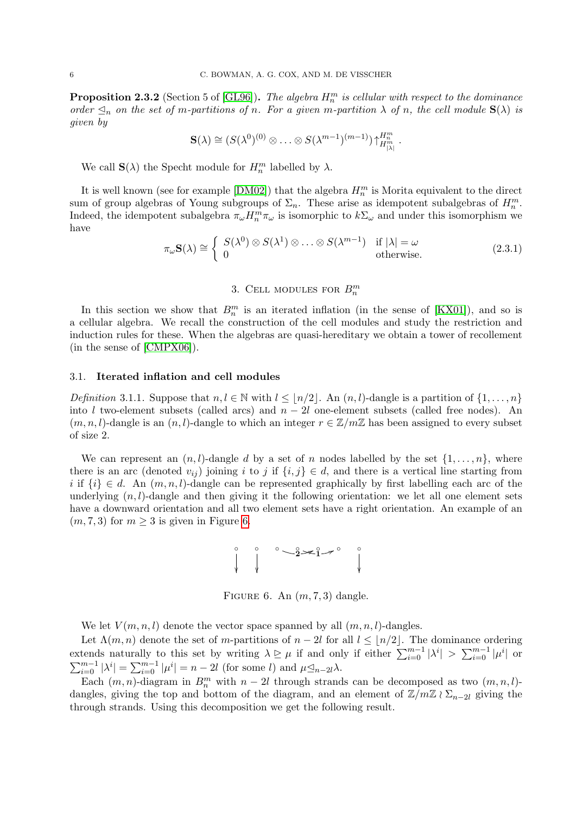**Proposition 2.3.2** (Section 5 of [\[GL96\]](#page-19-7)). The algebra  $H_n^m$  is cellular with respect to the dominance order  $\leq_n$  on the set of m-partitions of n. For a given m-partition  $\lambda$  of n, the cell module  $S(\lambda)$  is given by

$$
\mathbf{S}(\lambda) \cong (S(\lambda^0)^{(0)} \otimes \ldots \otimes S(\lambda^{m-1})^{(m-1)}) \uparrow_{H_{[\lambda]}^m}^{H_{m}^m}.
$$

We call  $\mathbf{S}(\lambda)$  the Specht module for  $H_n^m$  labelled by  $\lambda$ .

It is well known (see for example  $[DM02]$ ) that the algebra  $H_n^m$  is Morita equivalent to the direct sum of group algebras of Young subgroups of  $\Sigma_n$ . These arise as idempotent subalgebras of  $H_n^m$ . Indeed, the idempotent subalgebra  $\pi_{\omega}H_n^m\pi_{\omega}$  is isomorphic to  $k\Sigma_{\omega}$  and under this isomorphism we have

$$
\pi_{\omega} \mathbf{S}(\lambda) \cong \begin{cases} S(\lambda^0) \otimes S(\lambda^1) \otimes \ldots \otimes S(\lambda^{m-1}) & \text{if } |\lambda| = \omega \\ 0 & \text{otherwise.} \end{cases}
$$
 (2.3.1)

## 3. CELL MODULES FOR  $B_n^m$

In this section we show that  $B_n^m$  is an iterated inflation (in the sense of [\[KX01\]](#page-19-8)), and so is a cellular algebra. We recall the construction of the cell modules and study the restriction and induction rules for these. When the algebras are quasi-hereditary we obtain a tower of recollement (in the sense of [\[CMPX06\]](#page-18-1)).

#### 3.1. Iterated inflation and cell modules

Definition 3.1.1. Suppose that  $n, l \in \mathbb{N}$  with  $l \leq n/2$ . An  $(n, l)$ -dangle is a partition of  $\{1, \ldots, n\}$ into l two-element subsets (called arcs) and  $n - 2l$  one-element subsets (called free nodes). An  $(m, n, l)$ -dangle is an  $(n, l)$ -dangle to which an integer  $r \in \mathbb{Z}/m\mathbb{Z}$  has been assigned to every subset of size 2.

We can represent an  $(n, l)$ -dangle d by a set of n nodes labelled by the set  $\{1, \ldots, n\}$ , where there is an arc (denoted  $v_{ij}$ ) joining i to j if  $\{i, j\} \in d$ , and there is a vertical line starting from i if  $\{i\} \in d$ . An  $(m, n, l)$ -dangle can be represented graphically by first labelling each arc of the underlying  $(n, l)$ -dangle and then giving it the following orientation: we let all one element sets have a downward orientation and all two element sets have a right orientation. An example of an  $(m, 7, 3)$  for  $m \geq 3$  is given in Figure [6.](#page-5-0)

<span id="page-6-0"></span>

<span id="page-6-2"></span><span id="page-6-1"></span>FIGURE 6. An  $(m, 7, 3)$  dangle.

We let  $V(m, n, l)$  denote the vector space spanned by all  $(m, n, l)$ -dangles.

Let  $\Lambda(m, n)$  denote the set of m-partitions of  $n - 2l$  for all  $l \leq \lfloor n/2 \rfloor$ . The dominance ordering extends naturally to this set by writing  $\lambda \geq \mu$  if and only if either  $\sum_{i=0}^{m-1} |\lambda^i| > \sum_{i=0}^{m-1} |\mu^i|$  or  $\sum_{i=0}^{m-1} |\lambda^i| = \sum_{i=0}^{m-1} |\mu^i| = n - 2l$  (for some l) and  $\mu \leq_{n-2l} \lambda$ .

Each  $(m, n)$ -diagram in  $B_n^m$  with  $n-2l$  through strands can be decomposed as two  $(m, n, l)$ dangles, giving the top and bottom of the diagram, and an element of  $\mathbb{Z}/m\mathbb{Z}/2$   $\sum_{n=2l}$  giving the through strands. Using this decomposition we get the following result.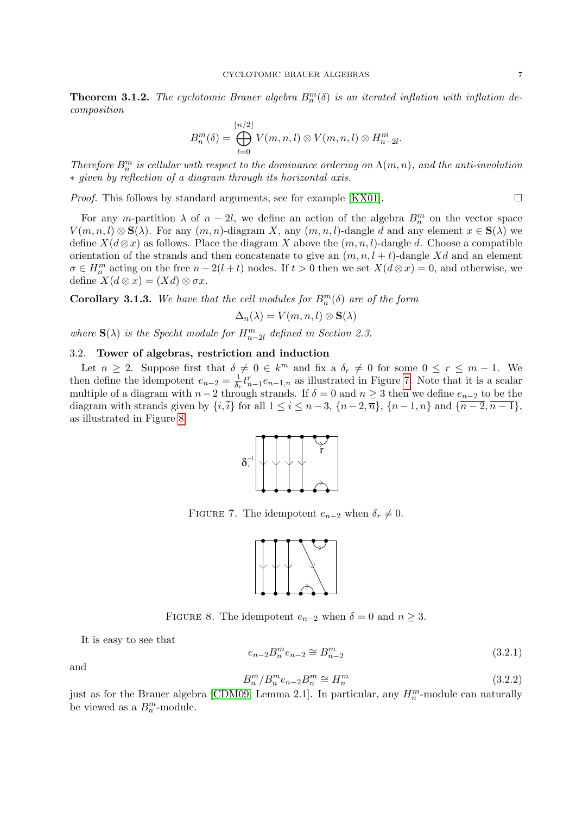**Theorem 3.1.2.** The cyclotomic Brauer algebra  $B_n^m(\delta)$  is an iterated inflation with inflation decomposition

$$
B_n^m(\delta) = \bigoplus_{l=0}^{\lfloor n/2 \rfloor} V(m,n,l) \otimes V(m,n,l) \otimes H_{n-2l}^m.
$$

Therefore  $B_n^m$  is cellular with respect to the dominance ordering on  $\Lambda(m,n)$ , and the anti-involution ∗ given by reflection of a diagram through its horizontal axis.

*Proof.* This follows by standard arguments, see for example [\[KX01\]](#page-19-8).  $\Box$ 

For any m-partition  $\lambda$  of  $n-2l$ , we define an action of the algebra  $B_n^m$  on the vector space  $V(m, n, l) \otimes S(\lambda)$ . For any  $(m, n)$ -diagram X, any  $(m, n, l)$ -dangle d and any element  $x \in S(\lambda)$  we define  $X(d\otimes x)$  as follows. Place the diagram X above the  $(m, n, l)$ -dangle d. Choose a compatible orientation of the strands and then concatenate to give an  $(m, n, l + t)$ -dangle Xd and an element  $\sigma \in H_n^m$  acting on the free  $n - 2(l + t)$  nodes. If  $t > 0$  then we set  $X(d \otimes x) = 0$ , and otherwise, we define  $X(d \otimes x) = (Xd) \otimes \sigma x$ .

**Corollary 3.1.3.** We have that the cell modules for  $B_n^m(\delta)$  are of the form

<span id="page-7-3"></span><span id="page-7-2"></span>
$$
\Delta_n(\lambda) = V(m,n,l) \otimes \mathbf{S}(\lambda)
$$

where  $\mathbf{S}(\lambda)$  is the Specht module for  $H_{n-2l}^m$  defined in Section 2.3.

## 3.2. Tower of algebras, restriction and induction

<span id="page-7-0"></span>Let  $n \geq 2$ . Suppose first that  $\delta \neq 0 \in k^m$  and fix a  $\delta_r \neq 0$  for some  $0 \leq r \leq m-1$ . We then define the idempotent  $e_{n-2} = \frac{1}{\delta_n}$  $\frac{1}{\delta_r} t_{n-1}^r e_{n-1,n}$  as illustrated in Figure [7.](#page-6-0) Note that it is a scalar multiple of a diagram with  $n-2$  through strands. If  $\delta = 0$  and  $n \geq 3$  then we define  $e_{n-2}$  to be the diagram with strands given by  $\{i,\overline{i}\}$  for all  $1 \leq i \leq n-3$ ,  $\{n-2,\overline{n}\},\{n-1,n\}$  and  $\{\overline{n-2},\overline{n-1}\},\$ as illustrated in Figure [8.](#page-6-1)



FIGURE 7. The idempotent  $e_{n-2}$  when  $\delta_r \neq 0$ .



FIGURE 8. The idempotent  $e_{n-2}$  when  $\delta = 0$  and  $n \geq 3$ .

<span id="page-7-1"></span>It is easy to see that

$$
e_{n-2}B_n^m e_{n-2} \cong B_{n-2}^m \tag{3.2.1}
$$

and

$$
B_n^m / B_n^m e_{n-2} B_n^m \cong H_n^m \tag{3.2.2}
$$

just as for the Brauer algebra [\[CDM09,](#page-18-3) Lemma 2.1]. In particular, any  $H_n^m$ -module can naturally be viewed as a  $B_n^m$ -module.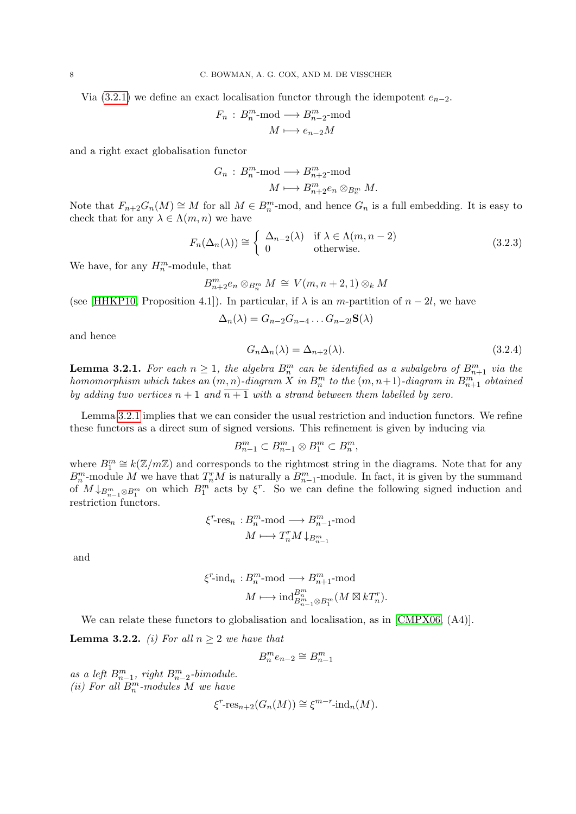Via [\(3.2.1\)](#page-6-2) we define an exact localisation functor through the idempotent  $e_{n-2}$ .

$$
F_n: B_n^m \text{-mod} \longrightarrow B_{n-2}^m \text{-mod}
$$

$$
M \longmapsto e_{n-2}M
$$

and a right exact globalisation functor

$$
G_n: B_n^m\text{-mod} \longrightarrow B_{n+2}^m\text{-mod}
$$

$$
M \longmapsto B_{n+2}^m e_n \otimes_{B_n^m} M.
$$

Note that  $F_{n+2}G_n(M) \cong M$  for all  $M \in B_n^m$ -mod, and hence  $G_n$  is a full embedding. It is easy to check that for any  $\lambda \in \Lambda(m, n)$  we have

$$
F_n(\Delta_n(\lambda)) \cong \begin{cases} \Delta_{n-2}(\lambda) & \text{if } \lambda \in \Lambda(m, n-2) \\ 0 & \text{otherwise.} \end{cases}
$$
 (3.2.3)

We have, for any  $H_n^m$ -module, that

$$
B_{n+2}^m e_n \otimes_{B_n^m} M \cong V(m, n+2, 1) \otimes_k M
$$

<span id="page-8-0"></span>(see [\[HHKP10,](#page-19-9) Proposition 4.1]). In particular, if  $\lambda$  is an m-partition of  $n-2l$ , we have

$$
\Delta_n(\lambda) = G_{n-2}G_{n-4}\dots G_{n-2l}\mathbf{S}(\lambda)
$$

and hence

$$
G_n \Delta_n(\lambda) = \Delta_{n+2}(\lambda). \tag{3.2.4}
$$

**Lemma 3.2.1.** For each  $n \geq 1$ , the algebra  $B_n^m$  can be identified as a subalgebra of  $B_{n+1}^m$  via the homomorphism which takes an  $(m, n)$ -diagram X in  $B_n^m$  to the  $(m, n+1)$ -diagram in  $B_{n+1}^m$  obtained by adding two vertices  $n + 1$  and  $\overline{n + 1}$  with a strand between them labelled by zero.

Lemma [3.2.1](#page-7-0) implies that we can consider the usual restriction and induction functors. We refine these functors as a direct sum of signed versions. This refinement is given by inducing via

$$
B_{n-1}^m \subset B_{n-1}^m \otimes B_1^m \subset B_n^m,
$$

where  $B_1^m \cong k(\mathbb{Z}/m\mathbb{Z})$  and corresponds to the rightmost string in the diagrams. Note that for any  $B_n^m$ -module M we have that  $T_n^rM$  is naturally a  $B_{n-1}^m$ -module. In fact, it is given by the summand of  $M\downarrow_{B_{n-1}^m\otimes B_1^m}$  on which  $B_1^m$  acts by  $\xi^r$ . So we can define the following signed induction and restriction functors.

$$
\xi^r\text{-res}_n:B_n^m\text{-mod}\longrightarrow B_{n-1}^m\text{-mod}\\ M\longmapsto T_n^rM\!\downarrow_{B_{n-1}^m}
$$

and

$$
\xi^r\text{-}\mathrm{ind}_n: B_n^m\text{-}\mathrm{mod} \longrightarrow B_{n+1}^m\text{-}\mathrm{mod} \\ M \longmapsto \mathrm{ind}_{B_{n-1}^m \otimes B_1^m}^{B_n^m} (M \boxtimes kT_n^r).
$$

We can relate these functors to globalisation and localisation, as in [\[CMPX06,](#page-18-1)  $(A4)$ ].

**Lemma 3.2.2.** (i) For all  $n \geq 2$  we have that

$$
B_n^m e_{n-2} \cong B_{n-1}^m
$$

as a left  $B_{n-1}^m$ , right  $B_{n-2}^m$ -bimodule. (ii) For all  $B_n^m$ -modules M we have

$$
\xi^r\text{-res}_{n+2}(G_n(M)) \cong \xi^{m-r}\text{-ind}_n(M).
$$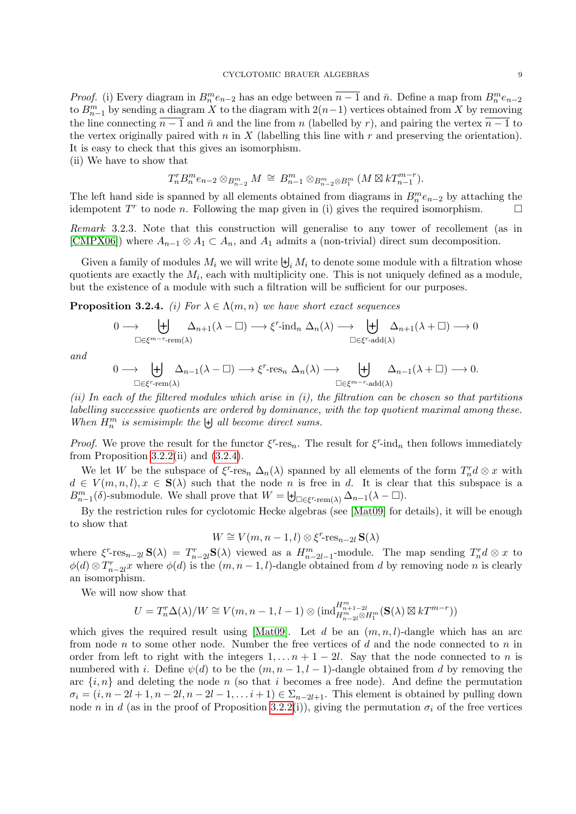*Proof.* (i) Every diagram in  $B_n^m e_{n-2}$  has an edge between  $\overline{n-1}$  and  $\overline{n}$ . Define a map from  $B_n^m e_{n-2}$ to  $B_{n-1}^m$  by sending a diagram X to the diagram with  $2(n-1)$  vertices obtained from X by removing the line connecting  $\overline{n-1}$  and  $\overline{n}$  and the line from n (labelled by r), and pairing the vertex  $\overline{n-1}$  to the vertex originally paired with  $n$  in  $X$  (labelling this line with  $r$  and preserving the orientation). It is easy to check that this gives an isomorphism.

(ii) We have to show that

$$
T_n^r B_n^m e_{n-2} \otimes_{B_{n-2}^m} M \cong B_{n-1}^m \otimes_{B_{n-2}^m \otimes B_1^m} (M \boxtimes k T_{n-1}^{m-r}).
$$

The left hand side is spanned by all elements obtained from diagrams in  $B_n^m e_{n-2}$  by attaching the idempotent  $T^r$  to node n. Following the map given in (i) gives the required isomorphism.

Remark 3.2.3. Note that this construction will generalise to any tower of recollement (as in [\[CMPX06\]](#page-18-1)) where  $A_{n-1} \otimes A_1 \subset A_n$ , and  $A_1$  admits a (non-trivial) direct sum decomposition.

<span id="page-9-0"></span>Given a family of modules  $M_i$  we will write  $\biguplus_i M_i$  to denote some module with a filtration whose quotients are exactly the  $M_i$ , each with multiplicity one. This is not uniquely defined as a module, but the existence of a module with such a filtration will be sufficient for our purposes.

<span id="page-9-1"></span>**Proposition 3.2.4.** (i) For  $\lambda \in \Lambda(m,n)$  we have short exact sequences

$$
0 \longrightarrow \biguplus_{\square \in \xi^{m-r} \text{-rem}(\lambda)} \Delta_{n+1}(\lambda - \square) \longrightarrow \xi^r \text{-ind}_n \ \Delta_n(\lambda) \longrightarrow \biguplus_{\square \in \xi^r \text{-add}(\lambda)} \Delta_{n+1}(\lambda + \square) \longrightarrow 0
$$

and

$$
0 \longrightarrow \biguplus_{\square \in \xi^r \text{-rem}(\lambda)} \Delta_{n-1}(\lambda - \square) \longrightarrow \xi^r \text{-res}_n \ \Delta_n(\lambda) \longrightarrow \biguplus_{\square \in \xi^{m-r} \text{-add}(\lambda)} \Delta_{n-1}(\lambda + \square) \longrightarrow 0.
$$

(ii) In each of the filtered modules which arise in  $(i)$ , the filtration can be chosen so that partitions labelling successive quotients are ordered by dominance, with the top quotient maximal among these. When  $H_n^m$  is semisimple the  $\biguplus$  all become direct sums.

*Proof.* We prove the result for the functor  $\xi^r$ -res<sub>n</sub>. The result for  $\xi^r$ -ind<sub>n</sub> then follows immediately from Proposition [3.2.2\(](#page-7-1)ii) and  $(3.2.4)$ .

We let W be the subspace of  $\xi^r$ -res<sub>n</sub>  $\Delta_n(\lambda)$  spanned by all elements of the form  $T_n^r d \otimes x$  with  $d \in V(m, n, l), x \in S(\lambda)$  such that the node n is free in d. It is clear that this subspace is a  $B_{n-1}^m(\delta)$ -submodule. We shall prove that  $W = \biguplus_{\square \in \xi^r \text{-rem}(\lambda)} \Delta_{n-1}(\lambda - \square)$ .

By the restriction rules for cyclotomic Hecke algebras (see [\[Mat09\]](#page-19-10) for details), it will be enough to show that

$$
W \cong V(m, n-1, l) \otimes \xi^{r} \text{-res}_{n-2l} \mathbf{S}(\lambda)
$$

where  $\xi^r$ -res<sub>n-2l</sub>  $\mathbf{S}(\lambda) = T^r_{n-2l} \mathbf{S}(\lambda)$  viewed as a  $H^m_{n-2l-1}$ -module. The map sending  $T^r_n d \otimes x$  to  $\phi(d) \otimes T_{n-2l}^r x$  where  $\phi(d)$  is the  $(m, n-1, l)$ -dangle obtained from d by removing node n is clearly an isomorphism.

We will now show that

$$
U = T_n^r \Delta(\lambda) / W \cong V(m, n - 1, l - 1) \otimes (\text{ind}_{H_{n-2l}^m \otimes H_1^m}^{H_{m+1-2l}^m} (\mathbf{S}(\lambda) \boxtimes kT^{m-r}))
$$

which gives the required result using [\[Mat09\]](#page-19-10). Let d be an  $(m, n, l)$ -dangle which has an arc from node  $n$  to some other node. Number the free vertices of  $d$  and the node connected to  $n$  in order from left to right with the integers  $1, \ldots n + 1 - 2l$ . Say that the node connected to n is numbered with i. Define  $\psi(d)$  to be the  $(m, n-1, l-1)$ -dangle obtained from d by removing the arc  $\{i, n\}$  and deleting the node n (so that i becomes a free node). And define the permutation  $\sigma_i = (i, n-2l+1, n-2l, n-2l-1, \ldots i+1) \in \Sigma_{n-2l+1}$ . This element is obtained by pulling down node n in d (as in the proof of Proposition [3.2.2\(](#page-7-1)i)), giving the permutation  $\sigma_i$  of the free vertices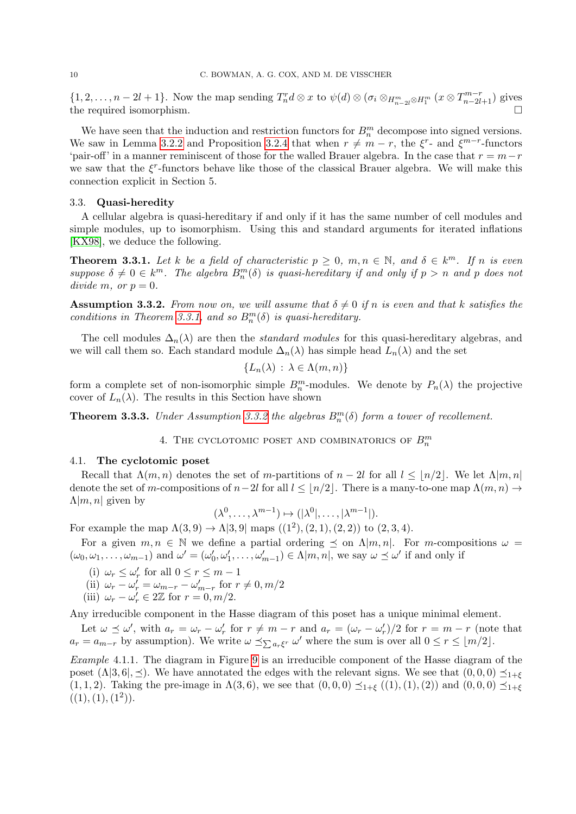$\{1, 2, \ldots, n-2l+1\}$ . Now the map sending  $T_n^r d \otimes x$  to  $\psi(d) \otimes (\sigma_i \otimes_{H_{n-2l}^m \otimes H_1^m} (x \otimes T_{n-2l+1}^{m-r})$  gives the required isomorphism.

We have seen that the induction and restriction functors for  $B_n^m$  decompose into signed versions. We saw in Lemma [3.2.2](#page-7-1) and Proposition [3.2.4](#page-8-0) that when  $r \neq m-r$ , the  $\xi^{r}$ - and  $\xi^{m-r}$ -functors 'pair-off' in a manner reminiscent of those for the walled Brauer algebra. In the case that  $r = m - r$ we saw that the  $\xi^r$ -functors behave like those of the classical Brauer algebra. We will make this connection explicit in Section 5.

#### 3.3. Quasi-heredity

A cellular algebra is quasi-hereditary if and only if it has the same number of cell modules and simple modules, up to isomorphism. Using this and standard arguments for iterated inflations [\[KX98\]](#page-19-11), we deduce the following.

**Theorem 3.3.1.** Let k be a field of characteristic  $p \ge 0$ ,  $m, n \in \mathbb{N}$ , and  $\delta \in k^m$ . If n is even suppose  $\delta \neq 0 \in k^m$ . The algebra  $B_n^m(\delta)$  is quasi-hereditary if and only if  $p > n$  and p does not divide m, or  $p = 0$ .

**Assumption 3.3.2.** From now on, we will assume that  $\delta \neq 0$  if n is even and that k satisfies the conditions in Theorem [3.3.1,](#page-9-0) and so  $B_n^m(\delta)$  is quasi-hereditary.

The cell modules  $\Delta_n(\lambda)$  are then the *standard modules* for this quasi-hereditary algebras, and we will call them so. Each standard module  $\Delta_n(\lambda)$  has simple head  $L_n(\lambda)$  and the set

<span id="page-10-0"></span>
$$
\{L_n(\lambda) \,:\, \lambda \in \Lambda(m,n)\}
$$

form a complete set of non-isomorphic simple  $B_n^m$ -modules. We denote by  $P_n(\lambda)$  the projective cover of  $L_n(\lambda)$ . The results in this Section have shown

**Theorem 3.3.3.** Under Assumption [3.3.2](#page-9-1) the algebras  $B_n^m(\delta)$  form a tower of recollement.

4. THE CYCLOTOMIC POSET AND COMBINATORICS OF  $B_n^m$ 

### 4.1. The cyclotomic poset

Recall that  $\Lambda(m, n)$  denotes the set of m-partitions of  $n - 2l$  for all  $l \leq |n/2|$ . We let  $\Lambda(m, n)$ denote the set of m-compositions of  $n-2l$  for all  $l \leq \lfloor n/2 \rfloor$ . There is a many-to-one map  $\Lambda(m,n) \to$  $\Lambda[m, n]$  given by

$$
(\lambda^0, \ldots, \lambda^{m-1}) \mapsto (|\lambda^0|, \ldots, |\lambda^{m-1}|).
$$

For example the map  $\Lambda(3,9) \to \Lambda(3,9)$  maps  $((1^2),(2,1),(2,2))$  to  $(2,3,4)$ .

For a given  $m, n \in \mathbb{N}$  we define a partial ordering  $\preceq$  on  $\Lambda |m, n|$ . For m-compositions  $\omega =$  $(\omega_0, \omega_1, \ldots, \omega_{m-1})$  and  $\omega' = (\omega'_0, \omega'_1, \ldots, \omega'_{m-1}) \in \Lambda[m, n]$ , we say  $\omega \preceq \omega'$  if and only if

- (i)  $\omega_r \leq \omega'_r$  for all  $0 \leq r \leq m-1$
- (ii)  $\omega_r \omega'_r = \omega_{m-r} \omega'_{m-r}$  for  $r \neq 0, m/2$
- (iii)  $\omega_r \omega'_r \in 2\mathbb{Z}$  for  $r = 0, m/2$ .

Any irreducible component in the Hasse diagram of this poset has a unique minimal element.

Let  $\omega \preceq \omega'$ , with  $a_r = \omega_r - \omega'_r$  for  $r \neq m-r$  and  $a_r = (\omega_r - \omega'_r)/2$  for  $r = m-r$  (note that  $a_r = a_{m-r}$  by assumption). We write  $\omega \preceq_{\sum a_r \xi^r} \omega'$  where the sum is over all  $0 \le r \le \lfloor m/2 \rfloor$ .

Example 4.1.1. The diagram in Figure [9](#page-10-0) is an irreducible component of the Hasse diagram of the poset  $(\Lambda|3, 6], \leq$ ). We have annotated the edges with the relevant signs. We see that  $(0, 0, 0) \leq_{1+\epsilon}$  $(1, 1, 2)$ . Taking the pre-image in  $\Lambda(3, 6)$ , we see that  $(0, 0, 0) \preceq_{1+\xi} ((1), (1), (2))$  and  $(0, 0, 0) \preceq_{1+\xi}$  $((1), (1), (1^2)).$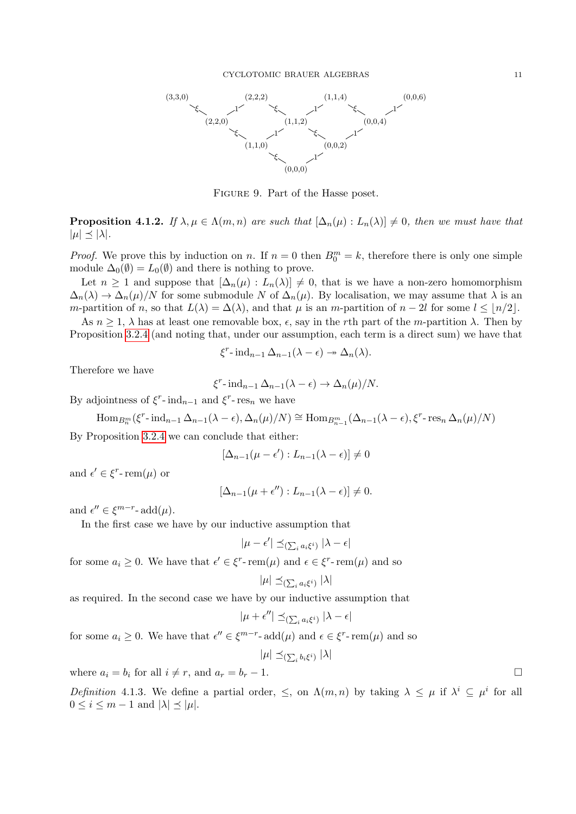

FIGURE 9. Part of the Hasse poset.

**Proposition 4.1.2.** If  $\lambda, \mu \in \Lambda(m, n)$  are such that  $[\Delta_n(\mu): L_n(\lambda)] \neq 0$ , then we must have that  $|\mu| \preceq |\lambda|.$ 

*Proof.* We prove this by induction on n. If  $n = 0$  then  $B_0^m = k$ , therefore there is only one simple module  $\Delta_0(\emptyset) = L_0(\emptyset)$  and there is nothing to prove.

Let  $n \geq 1$  and suppose that  $[\Delta_n(\mu): L_n(\lambda)] \neq 0$ , that is we have a non-zero homomorphism  $\Delta_n(\lambda) \to \Delta_n(\mu)/N$  for some submodule N of  $\Delta_n(\mu)$ . By localisation, we may assume that  $\lambda$  is an m-partition of n, so that  $L(\lambda) = \Delta(\lambda)$ , and that  $\mu$  is an m-partition of  $n-2l$  for some  $l \leq \lfloor n/2 \rfloor$ .

As  $n \geq 1$ ,  $\lambda$  has at least one removable box,  $\epsilon$ , say in the rth part of the *m*-partition  $\lambda$ . Then by Proposition [3.2.4](#page-8-0) (and noting that, under our assumption, each term is a direct sum) we have that

<span id="page-11-2"></span>
$$
\xi^r \text{-} \operatorname{ind}_{n-1} \Delta_{n-1}(\lambda - \epsilon) \twoheadrightarrow \Delta_n(\lambda).
$$

Therefore we have

$$
\xi^r \text{-} \operatorname{ind}_{n-1} \Delta_{n-1}(\lambda - \epsilon) \to \Delta_n(\mu)/N.
$$

By adjointness of  $\xi^r$ - ind<sub>n-1</sub> and  $\xi^r$ - res<sub>n</sub> we have

<span id="page-11-0"></span>
$$
\operatorname{Hom}_{B_n^m}(\xi^r - \operatorname{ind}_{n-1} \Delta_{n-1}(\lambda - \epsilon), \Delta_n(\mu)/N) \cong \operatorname{Hom}_{B_{n-1}^m}(\Delta_{n-1}(\lambda - \epsilon), \xi^r - \operatorname{res}_n \Delta_n(\mu)/N)
$$

By Proposition [3.2.4](#page-8-0) we can conclude that either:

$$
[\Delta_{n-1}(\mu-\epsilon'): L_{n-1}(\lambda-\epsilon)] \neq 0
$$

and  $\epsilon' \in \xi^r$ -rem $(\mu)$  or

<span id="page-11-1"></span>
$$
[\Delta_{n-1}(\mu + \epsilon'') : L_{n-1}(\lambda - \epsilon)] \neq 0.
$$

and  $\epsilon'' \in \xi^{m-r}$ - add $(\mu)$ .

In the first case we have by our inductive assumption that

$$
|\mu-\epsilon'|\preceq_{(\sum_i a_i\xi^i)} |\lambda-\epsilon|
$$

for some  $a_i \geq 0$ . We have that  $\epsilon' \in \xi^r$ -rem $(\mu)$  and  $\epsilon \in \xi^r$ -rem $(\mu)$  and so

$$
|\mu| \preceq_{(\sum_i a_i \xi^i)} |\lambda|
$$

as required. In the second case we have by our inductive assumption that

$$
|\mu+\epsilon''|\preceq_{(\sum_i a_i\xi^i)} |\lambda-\epsilon|
$$

for some  $a_i \geq 0$ . We have that  $\epsilon'' \in \xi^{m-r}$ -add $(\mu)$  and  $\epsilon \in \xi^r$ -rem $(\mu)$  and so

$$
|\mu| \preceq_{(\sum_i b_i \xi^i)} |\lambda|
$$

where  $a_i = b_i$  for all  $i \neq r$ , and  $a_r = b_r - 1$ .

Definition 4.1.3. We define a partial order,  $\leq$ , on  $\Lambda(m,n)$  by taking  $\lambda \leq \mu$  if  $\lambda^i \subseteq \mu^i$  for all  $0 \leq i \leq m-1$  and  $|\lambda| \leq |\mu|$ .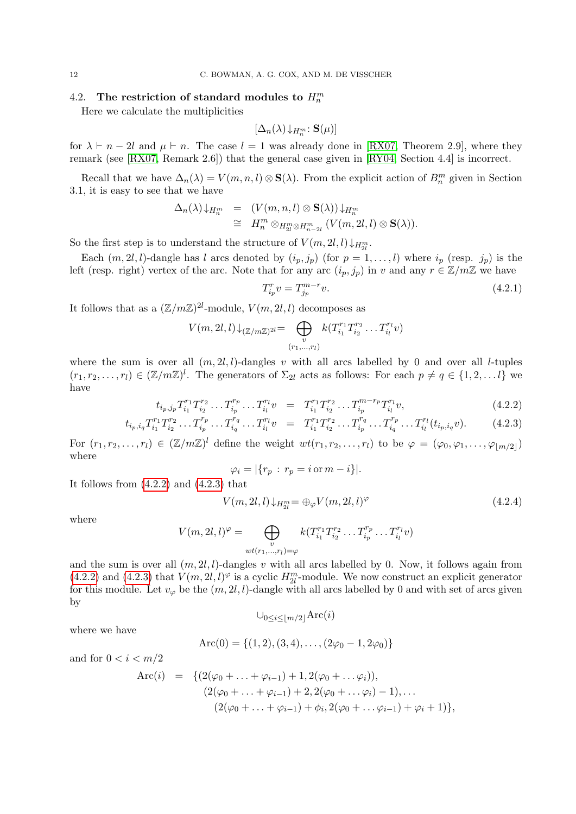## 4.2. The restriction of standard modules to  $H_n^m$

Here we calculate the multiplicities

<span id="page-12-0"></span>
$$
[\Delta_n(\lambda)\downarrow_{H_n^m}: \mathbf{S}(\mu)]
$$

for  $\lambda \vdash n - 2l$  and  $\mu \vdash n$ . The case  $l = 1$  was already done in [\[RX07,](#page-19-2) Theorem 2.9], where they remark (see [\[RX07,](#page-19-2) Remark 2.6]) that the general case given in [\[RY04,](#page-19-3) Section 4.4] is incorrect.

Recall that we have  $\Delta_n(\lambda) = V(m, n, l) \otimes \mathbf{S}(\lambda)$ . From the explicit action of  $B_n^m$  given in Section 3.1, it is easy to see that we have

$$
\Delta_n(\lambda) \downarrow_{H_n^m} = (V(m, n, l) \otimes \mathbf{S}(\lambda)) \downarrow_{H_n^m}
$$
  
\n
$$
\cong H_n^m \otimes_{H_{2l}^m \otimes H_{n-2l}^m} (V(m, 2l, l) \otimes \mathbf{S}(\lambda)).
$$

So the first step is to understand the structure of  $V(m, 2l, l) \downarrow_{H_{2l}^m}$ .

Each  $(m, 2l, l)$ -dangle has l arcs denoted by  $(i_p, j_p)$  (for  $p = 1, \ldots, l$ ) where  $i_p$  (resp.  $j_p$ ) is the left (resp. right) vertex of the arc. Note that for any arc  $(i_p, j_p)$  in v and any  $r \in \mathbb{Z}/m\mathbb{Z}$  we have

$$
T_{i_p}^r v = T_{j_p}^{m-r} v.
$$
\n(4.2.1)

It follows that as a  $(\mathbb{Z}/m\mathbb{Z})^{2l}$ -module,  $V(m, 2l, l)$  decomposes as

$$
V(m, 2l, l) \downarrow_{(\mathbb{Z}/m\mathbb{Z})^{2l}} = \bigoplus_{\substack{v \\ (r_1, \ldots, r_l)}} k(T_{i_1}^{r_1} T_{i_2}^{r_2} \ldots T_{i_l}^{r_l} v)
$$

where the sum is over all  $(m, 2l, l)$ -dangles v with all arcs labelled by 0 and over all *l*-tuples  $(r_1, r_2, \ldots, r_l) \in (\mathbb{Z}/m\mathbb{Z})^l$ . The generators of  $\Sigma_{2l}$  acts as follows: For each  $p \neq q \in \{1, 2, \ldots l\}$  we have

$$
t_{i_p,j_p}T_{i_1}^{r_1}T_{i_2}^{r_2}\ldots T_{i_p}^{r_p}\ldots T_{i_l}^{r_l}v = T_{i_1}^{r_1}T_{i_2}^{r_2}\ldots T_{i_p}^{m-r_p}T_{i_l}^{r_l}v,
$$
\n(4.2.2)

$$
t_{i_p,i_q}T_{i_1}^{r_1}T_{i_2}^{r_2}\ldots T_{i_p}^{r_p}\ldots T_{i_q}^{r_q}\ldots T_{i_l}^{r_l}v = T_{i_1}^{r_1}T_{i_2}^{r_2}\ldots T_{i_p}^{r_q}\ldots T_{i_q}^{r_p}\ldots T_{i_l}^{r_l}(t_{i_p,i_q}v).
$$
 (4.2.3)

<span id="page-12-1"></span>For  $(r_1, r_2, \ldots, r_l) \in (\mathbb{Z}/m\mathbb{Z})^l$  define the weight  $wt(r_1, r_2, \ldots, r_l)$  to be  $\varphi = (\varphi_0, \varphi_1, \ldots, \varphi_{\lfloor m/2 \rfloor})$ where

$$
\varphi_i = |\{r_p : r_p = i \text{ or } m - i\}|.
$$

It follows from  $(4.2.2)$  and  $(4.2.3)$  that

$$
V(m, 2l, l) \downarrow_{H_{2l}^m} = \bigoplus_{\varphi} V(m, 2l, l)^{\varphi} \tag{4.2.4}
$$

where

$$
V(m, 2l, l)^{\varphi} = \bigoplus_{\substack{v \\ wt(r_1, \ldots, r_l) = \varphi}} k(T_{i_1}^{r_1} T_{i_2}^{r_2} \ldots T_{i_p}^{r_p} \ldots T_{i_l}^{r_l} v)
$$

and the sum is over all  $(m, 2l, l)$ -dangles v with all arcs labelled by 0. Now, it follows again from [\(4.2.2\)](#page-11-0) and [\(4.2.3\)](#page-11-0) that  $V(m, 2l, l)$ <sup> $\varphi$ </sup> is a cyclic  $H_{2l}^{m}$ -module. We now construct an explicit generator for this module. Let  $v_{\varphi}$  be the  $(m, 2l, l)$ -dangle with all arcs labelled by 0 and with set of arcs given by

 $\bigcup_{0 \leq i \leq |m/2|} \text{Arc}(i)$ 

where we have

$$
Arc(0) = \{(1,2), (3,4), \ldots, (2\varphi_0 - 1, 2\varphi_0)\}
$$

and for  $0 < i < m/2$ 

$$
\begin{array}{rcl}\n\text{Arc}(i) & = & \{ (2(\varphi_0 + \ldots + \varphi_{i-1}) + 1, 2(\varphi_0 + \ldots \varphi_i)), \\
& (2(\varphi_0 + \ldots + \varphi_{i-1}) + 2, 2(\varphi_0 + \ldots \varphi_i) - 1), \ldots \\
& (2(\varphi_0 + \ldots + \varphi_{i-1}) + \phi_i, 2(\varphi_0 + \ldots \varphi_{i-1}) + \varphi_i + 1) \},\n\end{array}
$$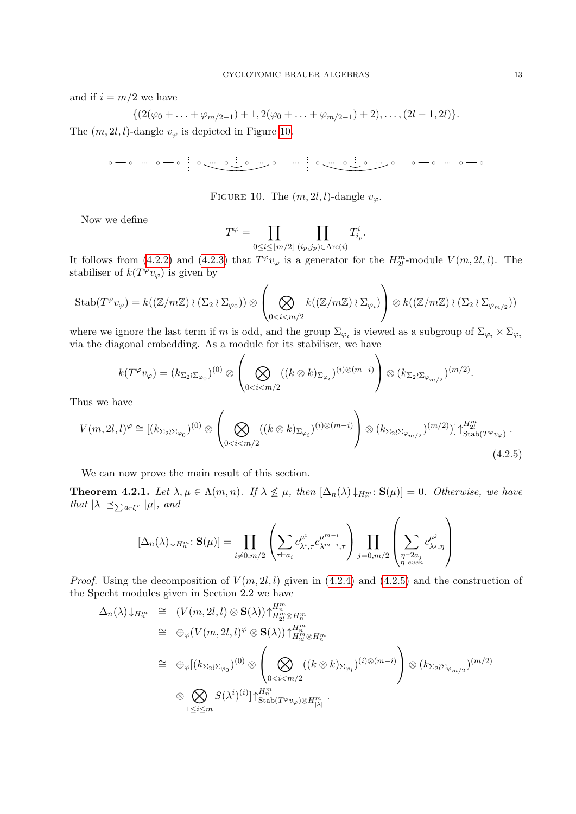and if  $i = m/2$  we have

 $\{(2(\varphi_0+\ldots+\varphi_{m/2-1})+1, 2(\varphi_0+\ldots+\varphi_{m/2-1})+2), \ldots, (2l-1, 2l)\}.$ The  $(m, 2l, l)$ -dangle  $v_{\varphi}$  is depicted in Figure [10.](#page-12-0)

◦ ◦ ··· ◦ ◦ ◦ ··· ◦ ◦ ··· ◦ ··· ◦ ··· ◦ ◦ ··· ◦ ◦ ◦ ··· ◦ ◦

FIGURE 10. The  $(m, 2l, l)$ -dangle  $v_{\varphi}$ .

Now we define

$$
T^{\varphi} = \prod_{0 \le i \le \lfloor m/2 \rfloor} \prod_{(i_p,j_p) \in \text{Arc}(i)} T_{i_p}^i
$$

.

It follows from [\(4.2.2\)](#page-11-0) and [\(4.2.3\)](#page-11-0) that  $T^{\varphi}v_{\varphi}$  is a generator for the  $H_{2l}^m$ -module  $V(m, 2l, l)$ . The stabiliser of  $k(T^{\varphi}v_{\varphi})$  is given by

$$
Stab(T^{\varphi}v_{\varphi}) = k((\mathbb{Z}/m\mathbb{Z}) \wr (\Sigma_2 \wr \Sigma_{\varphi_0})) \otimes \left( \bigotimes_{0 < i < m/2} k((\mathbb{Z}/m\mathbb{Z}) \wr \Sigma_{\varphi_i}) \right) \otimes k((\mathbb{Z}/m\mathbb{Z}) \wr (\Sigma_2 \wr \Sigma_{\varphi_{m/2}}))
$$

where we ignore the last term if m is odd, and the group  $\Sigma_{\varphi_i}$  is viewed as a subgroup of  $\Sigma_{\varphi_i} \times \Sigma_{\varphi_i}$ via the diagonal embedding. As a module for its stabiliser, we have

$$
k(T^{\varphi}v_{\varphi})=(k_{\Sigma_{2}\wr\Sigma_{\varphi_{0}}})^{(0)}\otimes\left(\bigotimes_{0
$$

<span id="page-13-1"></span>Thus we have

$$
V(m, 2l, l)^{\varphi} \cong \left[ (k_{\Sigma_2 \wr \Sigma_{\varphi_0}})^{(0)} \otimes \left( \bigotimes_{0 < i < m/2} ((k \otimes k)_{\Sigma_{\varphi_i}})^{(i) \otimes (m-i)} \right) \otimes (k_{\Sigma_2 \wr \Sigma_{\varphi_{m/2}}})^{(m/2)}) \right] \uparrow_{\text{Stab}(T^{\varphi}v_{\varphi})}^{H_m^m}.
$$
\n
$$
(4.2.5)
$$

We can now prove the main result of this section.

**Theorem 4.2.1.** Let  $\lambda, \mu \in \Lambda(m, n)$ . If  $\lambda \nleq \mu$ , then  $[\Delta_n(\lambda) \downarrow_{H_n^m} : \mathbf{S}(\mu)] = 0$ . Otherwise, we have that  $|\lambda| \preceq_{\sum a_r \xi^r} |\mu|$ , and

$$
[\Delta_n(\lambda)\downarrow_{H_n^m}: \mathbf{S}(\mu)] = \prod_{i\neq 0, m/2} \left( \sum_{\tau \vdash a_i} c_{\lambda^i, \tau}^{\mu^i} c_{\lambda^{m-i}, \tau}^{\mu^{m-i}} \right) \prod_{j=0, m/2} \left( \sum_{\substack{\eta \vdash 2a_j \\ \eta \ even}} c_{\lambda^j, \eta}^{\mu^j} \right)
$$

*Proof.* Using the decomposition of  $V(m, 2l, l)$  given in [\(4.2.4\)](#page-11-1) and [\(4.2.5\)](#page-12-1) and the construction of the Specht modules given in Section 2.2 we have

<span id="page-13-0"></span>
$$
\Delta_n(\lambda) \downarrow_{H_n^m} \cong (V(m, 2l, l) \otimes \mathbf{S}(\lambda)) \uparrow_{H_{2l}^m \otimes H_n^m}^{H_n^m}
$$
\n
$$
\cong \oplus_{\varphi} (V(m, 2l, l)^{\varphi} \otimes \mathbf{S}(\lambda)) \uparrow_{H_{2l}^m \otimes H_n^m}^{H_n^m}
$$
\n
$$
\cong \oplus_{\varphi} [(k_{\Sigma_2 \wr \Sigma_{\varphi_0}})^{(0)} \otimes \left( \bigotimes_{0 < i < m/2} ((k \otimes k)_{\Sigma_{\varphi_i}})^{(i) \otimes (m-i)} \right) \otimes (k_{\Sigma_2 \wr \Sigma_{\varphi_{m/2}}})^{(m/2)}
$$
\n
$$
\otimes \bigotimes_{1 \leq i \leq m} S(\lambda^i)^{(i)} \uparrow_{\text{Stab}(T^{\varphi} v_{\varphi}) \otimes H_{|\lambda|}^m}^{H_n^m}.
$$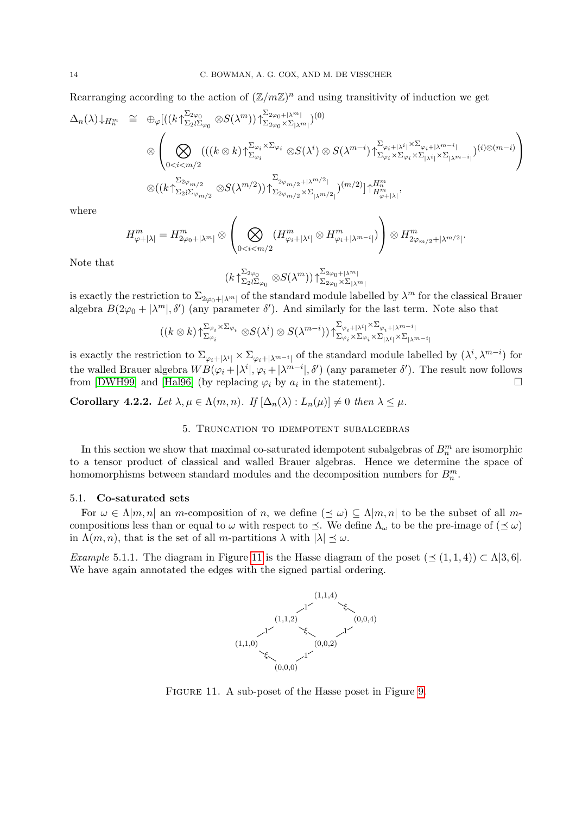Rearranging according to the action of  $(\mathbb{Z}/m\mathbb{Z})^n$  and using transitivity of induction we get

$$
\Delta_n(\lambda) \downarrow_{H_n^m} \cong \bigoplus_{\varphi} [((k\uparrow_{\Sigma_2\wr\Sigma_{\varphi_0}}^{\Sigma_{2\varphi_0}} \otimes S(\lambda^m))\uparrow_{\Sigma_{2\varphi_0}\times\Sigma_{|\lambda^m|}}^{\Sigma_{2\varphi_0+|\lambda^m|}})^{(0)} \otimes \left(\bigotimes_{0 < i < m/2} (((k \otimes k)\uparrow_{\Sigma_{\varphi_i}}^{\Sigma_{\varphi_i} \times \Sigma_{\varphi_i}} \otimes S(\lambda^i) \otimes S(\lambda^{m-i})\uparrow_{\Sigma_{\varphi_i}\times\Sigma_{\varphi_i}\times\Sigma_{|\lambda^i|}}^{\Sigma_{\varphi_i+|\lambda^i|} \times \Sigma_{\varphi_i+|\lambda^{m-i}|}})^{(i)\otimes(m-i)}\right) \otimes ((k\uparrow_{\Sigma_2\wr\Sigma_{\varphi_{m/2}}}^{\Sigma_{2\varphi_{m/2}}}\otimes S(\lambda^{m/2}))\uparrow_{\Sigma_{2\varphi_{m/2}}\times\Sigma_{|\lambda^{m/2}|}}^{\Sigma_{2\varphi_{m/2}+|\lambda^{m/2}|}})^{(m/2)}] \uparrow_{H_{\varphi+|\lambda|}^m}^{H_n^m},
$$

where

$$
H^{m}_{\varphi+|\lambda|} = H^{m}_{2\varphi_0+|\lambda^m|} \otimes \left( \bigotimes_{0 < i < m/2} (H^{m}_{\varphi_i+|\lambda^i|} \otimes H^{m}_{\varphi_i+|\lambda^{m-i}|}) \right) \otimes H^{m}_{2\varphi_{m/2}+|\lambda^{m/2}|}.
$$

Note that

$$
(k\uparrow_{\Sigma_2\wr\Sigma_{\varphi_0}}^{\Sigma_{2\varphi_0}}\otimes S(\lambda^m))\uparrow_{\Sigma_{2\varphi_0}\times\Sigma_{|\lambda^m|}}^{\Sigma_{2\varphi_0+|\lambda^m|}}
$$

is exactly the restriction to  $\Sigma_{2\varphi_0+|\lambda^m|}$  of the standard module labelled by  $\lambda^m$  for the classical Brauer algebra  $B(2\varphi_0 + |\lambda^m|, \delta')$  (any parameter  $\delta'$ ). And similarly for the last term. Note also that

$$
((k \otimes k)\uparrow_{\Sigma_{\varphi_i}}^{\Sigma_{\varphi_i} \times \Sigma_{\varphi_i}} \otimes S(\lambda^i) \otimes S(\lambda^{m-i}))\uparrow_{\Sigma_{\varphi_i} \times \Sigma_{\varphi_i} \times \Sigma_{|\lambda^i|} \times \Sigma_{|\lambda^{m-i}|}}^{\Sigma_{\varphi_i} \times \Sigma_{\varphi_i} \times \Sigma_{|\lambda^{m-i}|}}
$$

<span id="page-14-0"></span>is exactly the restriction to  $\Sigma_{\varphi_i+|\lambda^i|} \times \Sigma_{\varphi_i+|\lambda^{m-i}|}$  of the standard module labelled by  $(\lambda^i, \lambda^{m-i})$  for the walled Brauer algebra  $WB(\varphi_i + |\lambda^i|, \varphi_i + |\lambda^{m-i}|, \delta')$  (any parameter  $\delta'$ ). The result now follows from [\[DWH99\]](#page-18-7) and [\[Hal96\]](#page-19-12) (by replacing  $\varphi_i$  by  $a_i$  in the statement).

Corollary 4.2.2. Let  $\lambda, \mu \in \Lambda(m,n)$ . If  $[\Delta_n(\lambda): L_n(\mu)] \neq 0$  then  $\lambda \leq \mu$ .

## 5. Truncation to idempotent subalgebras

In this section we show that maximal co-saturated idempotent subalgebras of  $B_n^m$  are isomorphic to a tensor product of classical and walled Brauer algebras. Hence we determine the space of homomorphisms between standard modules and the decomposition numbers for  $B_n^m$ .

## 5.1. Co-saturated sets

For  $\omega \in \Lambda[m,n]$  an m-composition of n, we define  $(\leq \omega) \subseteq \Lambda[m,n]$  to be the subset of all mcompositions less than or equal to  $\omega$  with respect to  $\preceq$ . We define  $\Lambda_{\omega}$  to be the pre-image of  $(\preceq \omega)$ in  $\Lambda(m, n)$ , that is the set of all m-partitions  $\lambda$  with  $|\lambda| \preceq \omega$ .

Example 5.1.1. The diagram in Figure [11](#page-13-0) is the Hasse diagram of the poset  $(\leq (1, 1, 4)) \subset \Lambda(3, 6)$ . We have again annotated the edges with the signed partial ordering.



Figure 11. A sub-poset of the Hasse poset in Figure [9.](#page-10-0)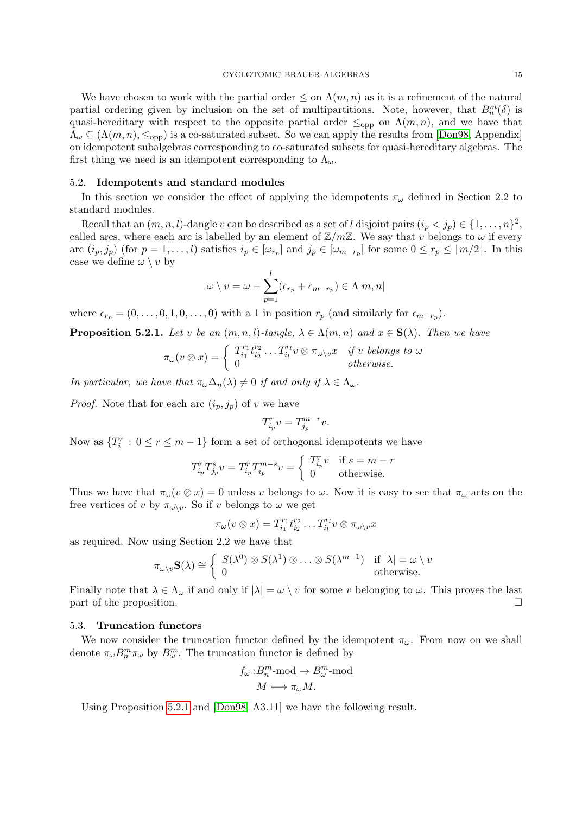<span id="page-15-1"></span>We have chosen to work with the partial order  $\leq$  on  $\Lambda(m,n)$  as it is a refinement of the natural partial ordering given by inclusion on the set of multipartitions. Note, however, that  $B_n^m(\delta)$  is quasi-hereditary with respect to the opposite partial order  $\leq_{opp}$  on  $\Lambda(m,n)$ , and we have that  $\Lambda_{\omega} \subseteq (\Lambda(m,n), \leq_{opp})$  is a co-saturated subset. So we can apply the results from [\[Don98,](#page-18-8) Appendix] on idempotent subalgebras corresponding to co-saturated subsets for quasi-hereditary algebras. The first thing we need is an idempotent corresponding to  $\Lambda_{\omega}$ .

#### 5.2. Idempotents and standard modules

In this section we consider the effect of applying the idempotents  $\pi_{\omega}$  defined in Section 2.2 to standard modules.

<span id="page-15-2"></span>Recall that an  $(m, n, l)$ -dangle v can be described as a set of l disjoint pairs  $(i_p < j_p) \in \{1, ..., n\}^2$ , called arcs, where each arc is labelled by an element of  $\mathbb{Z}/m\mathbb{Z}$ . We say that v belongs to  $\omega$  if every arc  $(i_p, j_p)$  (for  $p = 1, \ldots, l$ ) satisfies  $i_p \in [\omega_{r_p}]$  and  $j_p \in [\omega_{m-r_p}]$  for some  $0 \le r_p \le \lfloor m/2 \rfloor$ . In this case we define  $\omega \setminus v$  by

$$
\omega \setminus v = \omega - \sum_{p=1}^{l} (\epsilon_{r_p} + \epsilon_{m-r_p}) \in \Lambda[m, n]
$$

<span id="page-15-3"></span>where  $\epsilon_{r_p} = (0, \ldots, 0, 1, 0, \ldots, 0)$  with a 1 in position  $r_p$  (and similarly for  $\epsilon_{m-r_p}$ ).

**Proposition 5.2.1.** Let v be an  $(m, n, l)$ -tangle,  $\lambda \in \Lambda(m, n)$  and  $x \in S(\lambda)$ . Then we have

$$
\pi_{\omega}(v \otimes x) = \begin{cases} T_{i_1}^{r_1} t_{i_2}^{r_2} \dots T_{i_l}^{r_l} v \otimes \pi_{\omega \setminus v} x & \text{if } v \text{ belongs to } \omega \\ 0 & \text{otherwise.} \end{cases}
$$

In particular, we have that  $\pi_{\omega} \Delta_n(\lambda) \neq 0$  if and only if  $\lambda \in \Lambda_{\omega}$ .

*Proof.* Note that for each arc  $(i_p, j_p)$  of v we have

$$
T_{i_p}^r v = T_{j_p}^{m-r} v.
$$

Now as  $\{T_i^r: 0 \le r \le m-1\}$  form a set of orthogonal idempotents we have

$$
T_{i_p}^r T_{j_p}^s v = T_{i_p}^r T_{i_p}^{m-s} v = \begin{cases} T_{i_p}^r v & \text{if } s = m - r \\ 0 & \text{otherwise.} \end{cases}
$$

<span id="page-15-0"></span>Thus we have that  $\pi_{\omega}(v \otimes x) = 0$  unless v belongs to  $\omega$ . Now it is easy to see that  $\pi_{\omega}$  acts on the free vertices of v by  $\pi_{\omega\setminus v}$ . So if v belongs to  $\omega$  we get

$$
\pi_{\omega}(v\otimes x)=T_{i_1}^{r_1}t_{i_2}^{r_2}\ldots T_{i_l}^{r_l}v\otimes \pi_{\omega\setminus v}x
$$

as required. Now using Section 2.2 we have that

$$
\pi_{\omega\setminus v}\mathbf{S}(\lambda) \cong \left\{ \begin{array}{ll} S(\lambda^0) \otimes S(\lambda^1) \otimes \ldots \otimes S(\lambda^{m-1}) & \text{if } |\lambda| = \omega \setminus v \\ 0 & \text{otherwise.} \end{array} \right.
$$

Finally note that  $\lambda \in \Lambda_\omega$  if and only if  $|\lambda| = \omega \setminus v$  for some v belonging to  $\omega$ . This proves the last part of the proposition.

#### 5.3. Truncation functors

We now consider the truncation functor defined by the idempotent  $\pi_{\omega}$ . From now on we shall denote  $\pi_{\omega}B_{n}^{m}\pi_{\omega}$  by  $B_{\omega}^{m}$ . The truncation functor is defined by

$$
f_{\omega}: B_n^m\text{-mod} \to B_{\omega}^m\text{-mod}
$$

$$
M \longmapsto \pi_{\omega} M.
$$

Using Proposition [5.2.1](#page-14-0) and [\[Don98,](#page-18-8) A3.11] we have the following result.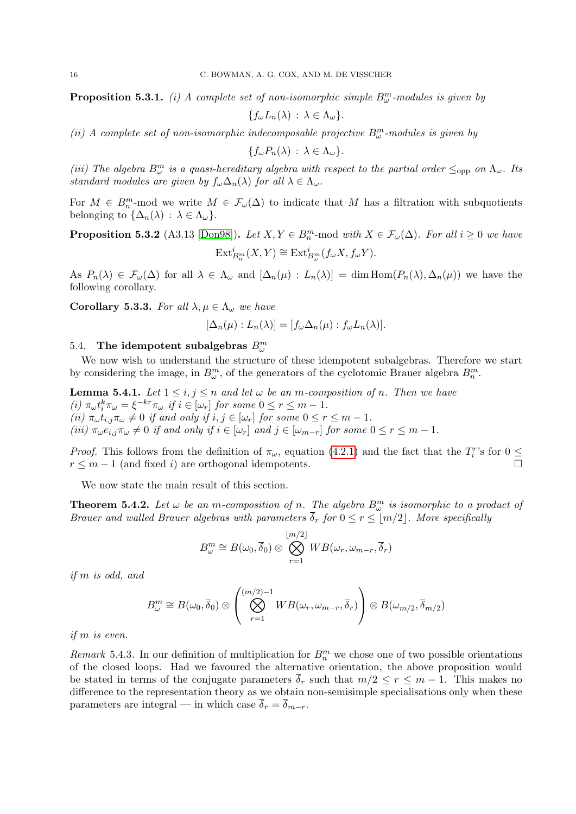**Proposition 5.3.1.** (i) A complete set of non-isomorphic simple  $B^m_\omega$ -modules is given by

$$
\{f_{\omega}L_n(\lambda)\,:\,\lambda\in\Lambda_{\omega}\}.
$$

(ii) A complete set of non-isomorphic indecomposable projective  $B^m_\omega$ -modules is given by

$$
\{f_{\omega}P_n(\lambda) : \lambda \in \Lambda_{\omega}\}.
$$

(iii) The algebra  $B^m_\omega$  is a quasi-hereditary algebra with respect to the partial order  $\leq_{\text{opp}}$  on  $\Lambda_\omega$ . Its standard modules are given by  $f_{\omega} \Delta_n(\lambda)$  for all  $\lambda \in \Lambda_{\omega}$ .

For  $M \in B_n^m$ -mod we write  $M \in \mathcal{F}_{\omega}(\Delta)$  to indicate that M has a filtration with subquotients belonging to  $\{\Delta_n(\lambda) : \lambda \in \Lambda_\omega\}.$ 

**Proposition 5.3.2** (A3.13 [\[Don98\]](#page-18-8)). Let  $X, Y \in B_n^m$ -mod with  $X \in \mathcal{F}_{\omega}(\Delta)$ . For all  $i \geq 0$  we have  $\mathrm{Ext}^i_{B^m_m}(X,Y) \cong \mathrm{Ext}^i_{B^m_\omega}(f_\omega X, f_\omega Y).$ 

As  $P_n(\lambda) \in \mathcal{F}_{\omega}(\Delta)$  for all  $\lambda \in \Lambda_{\omega}$  and  $[\Delta_n(\mu) : L_n(\lambda)] = \dim \text{Hom}(P_n(\lambda), \Delta_n(\mu))$  we have the following corollary.

Corollary 5.3.3. For all  $\lambda, \mu \in \Lambda_{\omega}$  we have

<span id="page-16-0"></span>
$$
[\Delta_n(\mu): L_n(\lambda)] = [f_\omega \Delta_n(\mu): f_\omega L_n(\lambda)].
$$

## 5.4. The idempotent subalgebras  $B^m_\omega$

We now wish to understand the structure of these idempotent subalgebras. Therefore we start by considering the image, in  $B^m_\omega$ , of the generators of the cyclotomic Brauer algebra  $B^m_n$ .

**Lemma 5.4.1.** Let  $1 \leq i, j \leq n$  and let  $\omega$  be an m-composition of n. Then we have (i)  $\pi_{\omega} t_i^k \pi_{\omega} = \xi^{-kr} \pi_{\omega}$  if  $i \in [\omega_r]$  for some  $0 \le r \le m - 1$ . (ii)  $\pi_{\omega} t_{i,j} \pi_{\omega} \neq 0$  if and only if  $i, j \in [\omega_r]$  for some  $0 \leq r \leq m - 1$ . (iii)  $\pi_{\omega}e_{i,j}\pi_{\omega} \neq 0$  if and only if  $i \in [\omega_r]$  and  $j \in [\omega_{m-r}]$  for some  $0 \leq r \leq m-1$ .

*Proof.* This follows from the definition of  $\pi_{\omega}$ , equation [\(4.2.1\)](#page-11-2) and the fact that the  $T_i^r$ 's for  $0 \leq$  $r \leq m-1$  (and fixed i) are orthogonal idempotents.

We now state the main result of this section.

**Theorem 5.4.2.** Let  $\omega$  be an m-composition of n. The algebra  $B_{\omega}^{m}$  is isomorphic to a product of Brauer and walled Brauer algebras with parameters  $\overline{\delta}_r$  for  $0 \leq r \leq \overline{m/2}$ . More specifically

$$
B^m_\omega \cong B(\omega_0, \overline{\delta}_0) \otimes \bigotimes_{r=1}^{\lfloor m/2 \rfloor} WB(\omega_r, \omega_{m-r}, \overline{\delta}_r)
$$

if m is odd, and

$$
B_{\omega}^{m} \cong B(\omega_{0}, \overline{\delta}_{0}) \otimes \left( \bigotimes_{r=1}^{(m/2)-1} WB(\omega_{r}, \omega_{m-r}, \overline{\delta}_{r}) \right) \otimes B(\omega_{m/2}, \overline{\delta}_{m/2})
$$

if m is even.

Remark 5.4.3. In our definition of multiplication for  $B_n^m$  we chose one of two possible orientations of the closed loops. Had we favoured the alternative orientation, the above proposition would be stated in terms of the conjugate parameters  $\overline{\delta}_r$  such that  $m/2 \le r \le m-1$ . This makes no difference to the representation theory as we obtain non-semisimple specialisations only when these parameters are integral — in which case  $\overline{\delta}_r = \overline{\delta}_{m-r}$ .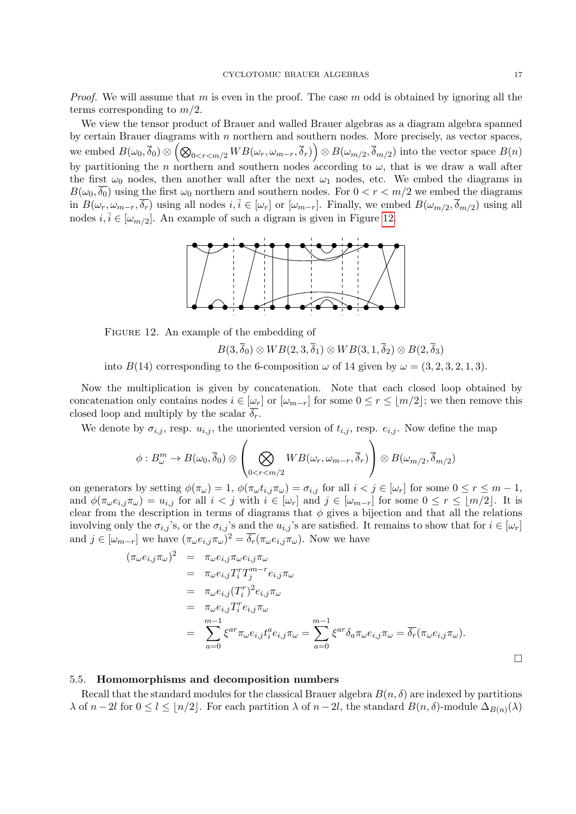*Proof.* We will assume that m is even in the proof. The case m odd is obtained by ignoring all the terms corresponding to  $m/2$ .

<span id="page-17-0"></span>We view the tensor product of Brauer and walled Brauer algebras as a diagram algebra spanned by certain Brauer diagrams with  $n$  northern and southern nodes. More precisely, as vector spaces, we embed  $B(\omega_0, \overline{\delta}_0) \otimes \left( \bigotimes_{0 \leq r \leq m/2} WB(\omega_r, \omega_{m-r}, \overline{\delta}_r) \right) \otimes B(\omega_{m/2}, \overline{\delta}_{m/2})$  into the vector space  $B(n)$ by partitioning the n northern and southern nodes according to  $\omega$ , that is we draw a wall after the first  $\omega_0$  nodes, then another wall after the next  $\omega_1$  nodes, etc. We embed the diagrams in  $B(\omega_0, \delta_0)$  using the first  $\omega_0$  northern and southern nodes. For  $0 < r < m/2$  we embed the diagrams in  $B(\omega_r, \omega_{m-r}, \overline{\delta_r})$  using all nodes  $i, \overline{i} \in [\omega_r]$  or  $[\omega_{m-r}]$ . Finally, we embed  $B(\omega_{m/2}, \overline{\delta}_{m/2})$  using all nodes  $i, \overline{i} \in [\omega_{m/2}]$ . An example of such a digram is given in Figure [12.](#page-16-0)



Figure 12. An example of the embedding of

$$
B(3,\overline{\delta}_0)\otimes WB(2,3,\overline{\delta}_1)\otimes WB(3,1,\overline{\delta}_2)\otimes B(2,\overline{\delta}_3)
$$

into  $B(14)$  corresponding to the 6-composition  $\omega$  of 14 given by  $\omega = (3, 2, 3, 2, 1, 3)$ .

Now the multiplication is given by concatenation. Note that each closed loop obtained by concatenation only contains nodes  $i \in [\omega_r]$  or  $[\omega_{m-r}]$  for some  $0 \le r \le \lfloor m/2 \rfloor$ ; we then remove this closed loop and multiply by the scalar  $\delta_r$ .

We denote by  $\sigma_{i,j}$ , resp.  $u_{i,j}$ , the unoriented version of  $t_{i,j}$ , resp.  $e_{i,j}$ . Now define the map

$$
\phi: B_{\omega}^m \to B(\omega_0, \overline{\delta}_0) \otimes \left( \bigotimes_{0 < r < m/2} WB(\omega_r, \omega_{m-r}, \overline{\delta}_r) \right) \otimes B(\omega_{m/2}, \overline{\delta}_{m/2})
$$

on generators by setting  $\phi(\pi_{\omega}) = 1$ ,  $\phi(\pi_{\omega} t_{i,j} \pi_{\omega}) = \sigma_{i,j}$  for all  $i < j \in [\omega_r]$  for some  $0 \le r \le m - 1$ , and  $\phi(\pi_{\omega}e_{i,j}\pi_{\omega})=u_{i,j}$  for all  $i < j$  with  $i \in [\omega_{r}]$  and  $j \in [\omega_{m-r}]$  for some  $0 \leq r \leq [m/2]$ . It is clear from the description in terms of diagrams that  $\phi$  gives a bijection and that all the relations involving only the  $\sigma_{i,j}$ 's, or the  $\sigma_{i,j}$ 's and the  $u_{i,j}$ 's are satisfied. It remains to show that for  $i \in [\omega_r]$ and  $j \in [\omega_{m-r}]$  we have  $(\pi_{\omega} e_{i,j} \pi_{\omega})^2 = \overline{\delta_r} (\pi_{\omega} e_{i,j} \pi_{\omega})$ . Now we have

$$
(\pi_{\omega}e_{i,j}\pi_{\omega})^{2} = \pi_{\omega}e_{i,j}\pi_{\omega}e_{i,j}\pi_{\omega}
$$
  
\n
$$
= \pi_{\omega}e_{i,j}T_{i}^{r}T_{j}^{m-r}e_{i,j}\pi_{\omega}
$$
  
\n
$$
= \pi_{\omega}e_{i,j}(T_{i}^{r})^{2}e_{i,j}\pi_{\omega}
$$
  
\n
$$
= \pi_{\omega}e_{i,j}T_{i}^{r}e_{i,j}\pi_{\omega}
$$
  
\n
$$
= \sum_{a=0}^{m-1} \xi^{ar}\pi_{\omega}e_{i,j}t_{i}^{a}e_{i,j}\pi_{\omega} = \sum_{a=0}^{m-1} \xi^{ar}\delta_{a}\pi_{\omega}e_{i,j}\pi_{\omega} = \overline{\delta_{r}}(\pi_{\omega}e_{i,j}\pi_{\omega}).
$$

#### 5.5. Homomorphisms and decomposition numbers

Recall that the standard modules for the classical Brauer algebra  $B(n, \delta)$  are indexed by partitions  $\lambda$  of  $n-2l$  for  $0 \leq l \leq \lfloor n/2 \rfloor$ . For each partition  $\lambda$  of  $n-2l$ , the standard  $B(n,\delta)$ -module  $\Delta_{B(n)}(\lambda)$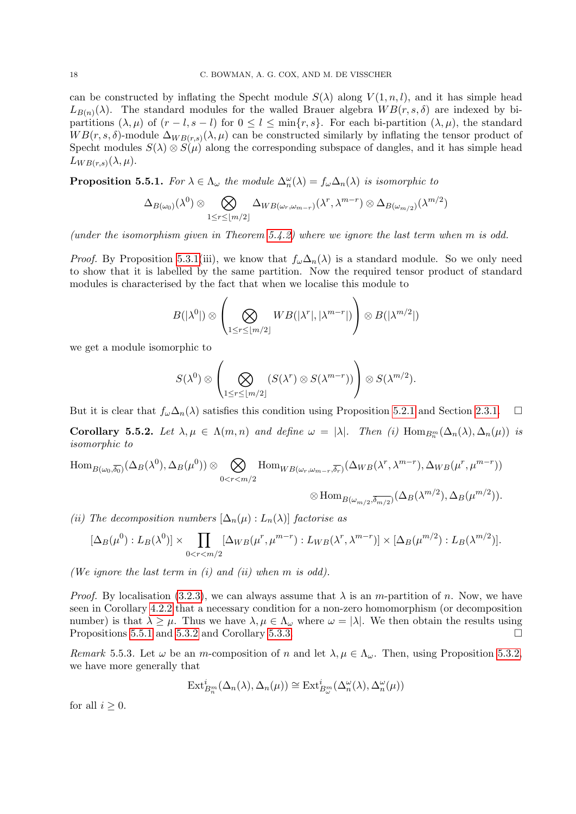can be constructed by inflating the Specht module  $S(\lambda)$  along  $V(1,n,l)$ , and it has simple head  $L_{B(n)}(\lambda)$ . The standard modules for the walled Brauer algebra  $WB(r, s, \delta)$  are indexed by bipartitions  $(\lambda, \mu)$  of  $(r - l, s - l)$  for  $0 \le l \le \min\{r, s\}$ . For each bi-partition  $(\lambda, \mu)$ , the standard  $WB(r, s, \delta)$ -module  $\Delta_{WB(r, s)}(\lambda, \mu)$  can be constructed similarly by inflating the tensor product of Specht modules  $S(\lambda) \otimes S(\mu)$  along the corresponding subspace of dangles, and it has simple head  $L_{WB(r,s)}(\lambda,\mu).$ 

**Proposition 5.5.1.** For  $\lambda \in \Lambda_{\omega}$  the module  $\Delta_n^{\omega}(\lambda) = f_{\omega} \Delta_n(\lambda)$  is isomorphic to

$$
\Delta_{B(\omega_0)}(\lambda^0) \otimes \bigotimes_{1 \leq r \leq \lfloor m/2 \rfloor} \Delta_{WB(\omega_r,\omega_{m-r})}(\lambda^r, \lambda^{m-r}) \otimes \Delta_{B(\omega_{m/2})}(\lambda^{m/2})
$$

(under the isomorphism given in Theorem [5.4.2\)](#page-15-0) where we ignore the last term when m is odd.

*Proof.* By Proposition [5.3.1\(](#page-15-1)iii), we know that  $f_\omega \Delta_n(\lambda)$  is a standard module. So we only need to show that it is labelled by the same partition. Now the required tensor product of standard modules is characterised by the fact that when we localise this module to

$$
B(|\lambda^0|) \otimes \left(\bigotimes_{1 \leq r \leq \lfloor m/2 \rfloor} WB(|\lambda^r|, |\lambda^{m-r}|)\right) \otimes B(|\lambda^{m/2}|)
$$

we get a module isomorphic to

$$
S(\lambda^0)\otimes\left(\bigotimes_{1\leq r\leq \lfloor m/2\rfloor}(S(\lambda^r)\otimes S(\lambda^{m-r}))\right)\otimes S(\lambda^{m/2}).
$$

But it is clear that  $f_{\omega} \Delta_n(\lambda)$  satisfies this condition using Proposition [5.2.1](#page-14-0) and Section [2.3.1.](#page-5-1)  $\Box$ 

**Corollary 5.5.2.** Let  $\lambda, \mu \in \Lambda(m,n)$  and define  $\omega = |\lambda|$ . Then (i)  $\text{Hom}_{B_n^m}(\Delta_n(\lambda), \Delta_n(\mu))$  is isomorphic to

$$
\text{Hom}_{B(\omega_0, \overline{\delta_0})}(\Delta_B(\lambda^0), \Delta_B(\mu^0)) \otimes \bigotimes_{0 < r < m/2} \text{Hom}_{WB(\omega_r, \omega_{m-r}, \overline{\delta_r})}(\Delta_{WB}(\lambda^r, \lambda^{m-r}), \Delta_{WB}(\mu^r, \mu^{m-r}))
$$
\n
$$
\otimes \text{Hom}_{B(\omega_{m/2}, \overline{\delta_{m/2}})}(\Delta_B(\lambda^{m/2}), \Delta_B(\mu^{m/2})).
$$

(ii) The decomposition numbers  $[\Delta_n(\mu): L_n(\lambda)]$  factorise as

$$
[\Delta_B(\mu^0): L_B(\lambda^0)] \times \prod_{0 < r < m/2} [\Delta_{WB}(\mu^r, \mu^{m-r}): L_{WB}(\lambda^r, \lambda^{m-r})] \times [\Delta_B(\mu^{m/2}): L_B(\lambda^{m/2})].
$$

<span id="page-18-5"></span><span id="page-18-0"></span>(We ignore the last term in  $(i)$  and  $(ii)$  when m is odd).

<span id="page-18-3"></span><span id="page-18-2"></span>*Proof.* By localisation [\(3.2.3\)](#page-7-3), we can always assume that  $\lambda$  is an m-partition of n. Now, we have seen in Corollary [4.2.2](#page-13-1) that a necessary condition for a non-zero homomorphism (or decomposition number) is that  $\lambda \geq \mu$ . Thus we have  $\lambda, \mu \in \Lambda_{\omega}$  where  $\omega = |\lambda|$ . We then obtain the results using Propositions 5.5.1 and 5.3.2 and Corollary 5.3.3. Propositions [5.5.1](#page-17-0) and [5.3.2](#page-15-2) and Corollary [5.3.3.](#page-15-3)

<span id="page-18-6"></span><span id="page-18-4"></span><span id="page-18-1"></span>Remark 5.5.3. Let  $\omega$  be an m-composition of n and let  $\lambda, \mu \in \Lambda_{\omega}$ . Then, using Proposition [5.3.2,](#page-15-2) we have more generally that

$$
\mathrm{Ext}^i_{B_n^m}(\Delta_n(\lambda), \Delta_n(\mu)) \cong \mathrm{Ext}^i_{B_\omega^m}(\Delta_n^{\omega}(\lambda), \Delta_n^{\omega}(\mu))
$$

<span id="page-18-8"></span><span id="page-18-7"></span>for all  $i \geq 0$ .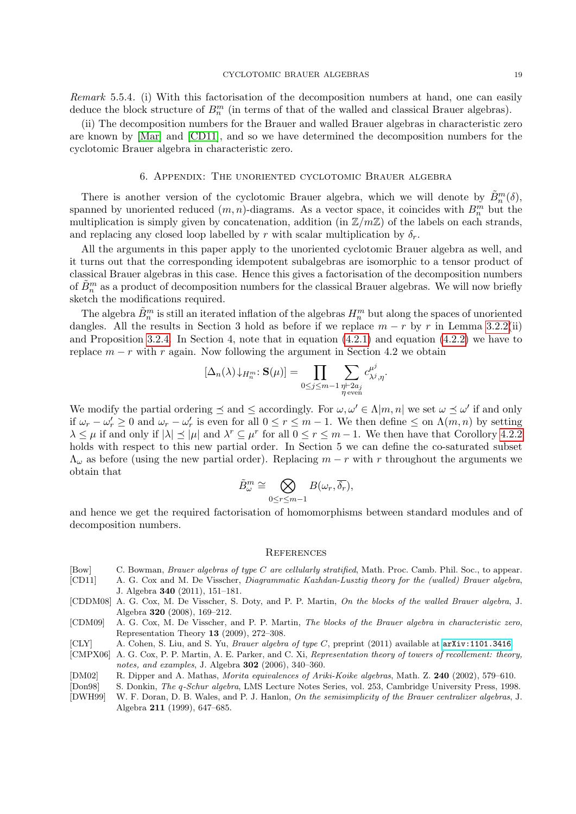<span id="page-19-1"></span>Remark 5.5.4. (i) With this factorisation of the decomposition numbers at hand, one can easily deduce the block structure of  $B_n^m$  (in terms of that of the walled and classical Brauer algebras).

<span id="page-19-12"></span><span id="page-19-9"></span><span id="page-19-7"></span>(ii) The decomposition numbers for the Brauer and walled Brauer algebras in characteristic zero are known by [\[Mar\]](#page-19-5) and [\[CD11\]](#page-18-0), and so we have determined the decomposition numbers for the cyclotomic Brauer algebra in characteristic zero.

## 6. Appendix: The unoriented cyclotomic Brauer algebra

<span id="page-19-11"></span><span id="page-19-8"></span><span id="page-19-5"></span><span id="page-19-0"></span>There is another version of the cyclotomic Brauer algebra, which we will denote by  $\tilde{B}_n^m(\delta)$ , spanned by unoriented reduced  $(m, n)$ -diagrams. As a vector space, it coincides with  $B_n^m$  but the multiplication is simply given by concatenation, addition (in  $\mathbb{Z}/m\mathbb{Z}$ ) of the labels on each strands, and replacing any closed loop labelled by r with scalar multiplication by  $\delta_r$ .

<span id="page-19-10"></span><span id="page-19-6"></span><span id="page-19-2"></span>All the arguments in this paper apply to the unoriented cyclotomic Brauer algebra as well, and it turns out that the corresponding idempotent subalgebras are isomorphic to a tensor product of classical Brauer algebras in this case. Hence this gives a factorisation of the decomposition numbers of  $\tilde{B}_n^m$  as a product of decomposition numbers for the classical Brauer algebras. We will now briefly sketch the modifications required.

<span id="page-19-4"></span><span id="page-19-3"></span>The algebra  $\tilde{B}_n^m$  is still an iterated inflation of the algebras  $H_n^m$  but along the spaces of unoriented dangles. All the results in Section 3 hold as before if we replace  $m - r$  by r in Lemma [3.2.2\(](#page-7-1)ii) and Proposition [3.2.4.](#page-8-0) In Section 4, note that in equation  $(4.2.1)$  and equation  $(4.2.2)$  we have to replace  $m - r$  with r again. Now following the argument in Section 4.2 we obtain

$$
[\Delta_n(\lambda)\downarrow_{H_n^m}: \mathbf{S}(\mu)] = \prod_{0 \le j \le m-1} \sum_{\substack{\eta \vdash 2a_j \\ \eta \text{ even}}} c_{\lambda^j, \eta}^{\mu^j}.
$$

We modify the partial ordering  $\leq$  and  $\leq$  accordingly. For  $\omega, \omega' \in \Lambda[m,n]$  we set  $\omega \leq \omega'$  if and only if  $\omega_r - \omega'_r \ge 0$  and  $\omega_r - \omega'_r$  is even for all  $0 \le r \le m-1$ . We then define  $\le$  on  $\Lambda(m,n)$  by setting  $\lambda \leq \mu$  if and only if  $|\lambda| \leq |\mu|$  and  $\lambda^r \subseteq \mu^r$  for all  $0 \leq r \leq m-1$ . We then have that Corollory [4.2.2](#page-13-1) holds with respect to this new partial order. In Section 5 we can define the co-saturated subset  $\Lambda_{\omega}$  as before (using the new partial order). Replacing  $m - r$  with r throughout the arguments we obtain that

$$
\tilde{B}_{\omega}^m \cong \bigotimes_{0 \leq r \leq m-1} B(\omega_r, \overline{\delta_r}),
$$

and hence we get the required factorisation of homomorphisms between standard modules and of decomposition numbers.

#### **REFERENCES**

- [Bow] C. Bowman, *Brauer algebras of type* C *are cellularly stratified*, Math. Proc. Camb. Phil. Soc., to appear.
- [CD11] A. G. Cox and M. De Visscher, *Diagrammatic Kazhdan-Lusztig theory for the (walled) Brauer algebra*, J. Algebra 340 (2011), 151–181.
- [CDDM08] A. G. Cox, M. De Visscher, S. Doty, and P. P. Martin, *On the blocks of the walled Brauer algebra*, J. Algebra 320 (2008), 169–212.
- [CDM09] A. G. Cox, M. De Visscher, and P. P. Martin, *The blocks of the Brauer algebra in characteristic zero*, Representation Theory 13 (2009), 272–308.
- [CLY] A. Cohen, S. Liu, and S. Yu, *Brauer algebra of type* C, preprint (2011) available at [arXiv:1101.3416](http://arxiv.org/abs/1101.3416).
- [CMPX06] A. G. Cox, P. P. Martin, A. E. Parker, and C. Xi, *Representation theory of towers of recollement: theory, notes, and examples*, J. Algebra 302 (2006), 340–360.
- [DM02] R. Dipper and A. Mathas, *Morita equivalences of Ariki-Koike algebras*, Math. Z. 240 (2002), 579–610.
- [Don98] S. Donkin, *The* q*-Schur algebra*, LMS Lecture Notes Series, vol. 253, Cambridge University Press, 1998. [DWH99] W. F. Doran, D. B. Wales, and P. J. Hanlon, *On the semisimplicity of the Brauer centralizer algebras*, J. Algebra 211 (1999), 647–685.